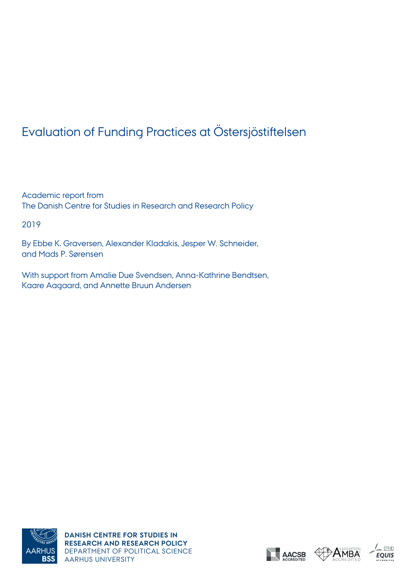# Evaluation of Funding Practices at Östersjöstiftelsen

Academic report from The Danish Centre for Studies in Research and Research Policy

2019

By Ebbe K. Graversen, Alexander Kladakis, Jesper W. Schneider, and Mads P. Sørensen

With support from Amalie Due Svendsen, Anna-Kathrine Bendtsen, Kaare Aagaard, and Annette Bruun Andersen







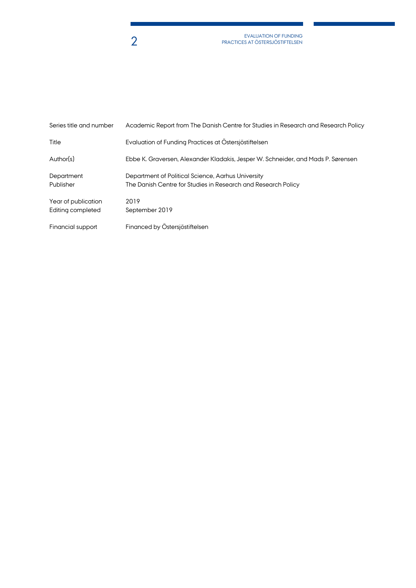EVALUATION OF FUNDING<br>PRACTICES AT ÖSTERSJÖSTIFTELSEN

| Series title and number                  | Academic Report from The Danish Centre for Studies in Research and Research Policy                                  |
|------------------------------------------|---------------------------------------------------------------------------------------------------------------------|
| Title                                    | Evaluation of Funding Practices at Östersjöstiftelsen                                                               |
| Author(s)                                | Ebbe K. Graversen, Alexander Kladakis, Jesper W. Schneider, and Mads P. Sørensen                                    |
| Department<br>Publisher                  | Department of Political Science, Aarhus University<br>The Danish Centre for Studies in Research and Research Policy |
| Year of publication<br>Editing completed | 2019<br>September 2019                                                                                              |
| Financial support                        | Financed by Östersjöstiftelsen                                                                                      |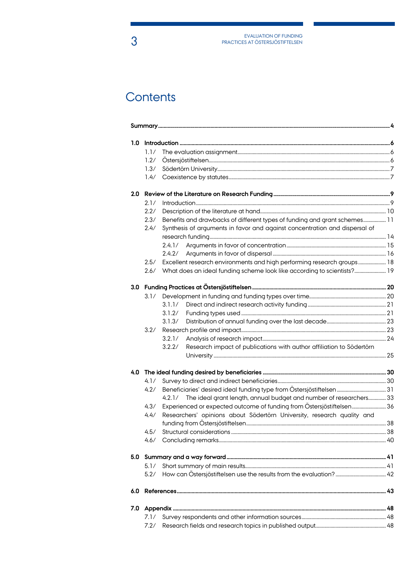# Contents

| 1.0 |      |                                                                                |  |
|-----|------|--------------------------------------------------------------------------------|--|
|     | 1.1/ |                                                                                |  |
|     | 1.2/ |                                                                                |  |
|     | 1.3/ |                                                                                |  |
|     | 1.4/ |                                                                                |  |
| 2.0 |      |                                                                                |  |
|     | 2.1/ |                                                                                |  |
|     | 2.2/ |                                                                                |  |
|     | 2.3/ | Benefits and drawbacks of different types of funding and grant schemes 11      |  |
|     | 2.4/ | Synthesis of arguments in favor and against concentration and dispersal of     |  |
|     |      |                                                                                |  |
|     |      |                                                                                |  |
|     |      | 2.4.2/                                                                         |  |
|     | 2.5/ | Excellent research environments and high performing research groups 18         |  |
|     | 2.6/ | What does an ideal funding scheme look like according to scientists? 19        |  |
|     |      |                                                                                |  |
|     | 3.1/ |                                                                                |  |
|     |      | 3.1.1/                                                                         |  |
|     |      | 3.1.2/                                                                         |  |
|     |      | 3.1.3/                                                                         |  |
|     | 3.2/ |                                                                                |  |
|     |      | 3.2.1/                                                                         |  |
|     |      | Research impact of publications with author affiliation to Södertörn<br>3.2.2/ |  |
| 4.0 |      |                                                                                |  |
|     | 4.1/ |                                                                                |  |
|     | 4.2/ |                                                                                |  |
|     |      | The ideal grant length, annual budget and number of researchers 33<br>4.2.1/   |  |
|     | 4.3/ | Experienced or expected outcome of funding from Östersjöstiftelsen 36          |  |
|     | 4.4/ | Researchers' opinions about Södertörn University, research quality and         |  |
|     |      |                                                                                |  |
|     |      |                                                                                |  |
|     | 4.5/ |                                                                                |  |
|     |      |                                                                                |  |
| 5.0 |      |                                                                                |  |
|     | 5.1/ |                                                                                |  |
|     | 5.2/ |                                                                                |  |
| 6.0 |      |                                                                                |  |
| 7.0 |      |                                                                                |  |
|     | 7.1/ |                                                                                |  |
|     | 7.2/ |                                                                                |  |
|     |      |                                                                                |  |

3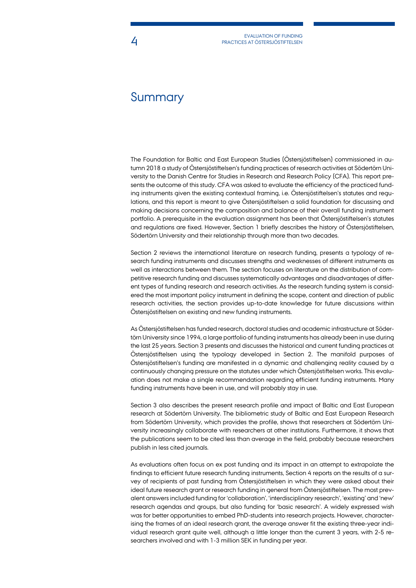## **Summary**

The Foundation for Baltic and East European Studies (Östersjöstiftelsen) commissioned in autumn 2018 a study of Östersjöstiftelsen's funding practices of research activities at Södertörn University to the Danish Centre for Studies in Research and Research Policy (CFA). This report presents the outcome of this study. CFA was asked to evaluate the efficiency of the practiced funding instruments given the existing contextual framing, i.e. Östersjöstiftelsen's statutes and regulations, and this report is meant to give Östersjöstiftelsen a solid foundation for discussing and making decisions concerning the composition and balance of their overall funding instrument portfolio. A prerequisite in the evaluation assignment has been that Östersjöstiftelsen's statutes and regulations are fixed. However, Section 1 briefly describes the history of Östersjöstiftelsen, Södertörn University and their relationship through more than two decades.

Section 2 reviews the international literature on research funding, presents a typology of research funding instruments and discusses strengths and weaknesses of different instruments as well as interactions between them. The section focuses on literature on the distribution of competitive research funding and discusses systematically advantages and disadvantages of different types of funding research and research activities. As the research funding system is considered the most important policy instrument in defining the scope, content and direction of public research activities, the section provides up-to-date knowledge for future discussions within Östersjöstiftelsen on existing and new funding instruments.

As Östersjöstiftelsen has funded research, doctoral studies and academic infrastructure at Södertörn University since 1994, a large portfolio of funding instruments has already been in use during the last 25 years. Section 3 presents and discusses the historical and current funding practices at Östersjöstiftelsen using the typology developed in Section 2. The manifold purposes of Östersjöstiftelsen's funding are manifested in a dynamic and challenging reality caused by a continuously changing pressure on the statutes under which Östersjöstiftelsen works. This evaluation does not make a single recommendation regarding efficient funding instruments. Many funding instruments have been in use, and will probably stay in use.

Section 3 also describes the present research profile and impact of Baltic and East European research at Södertörn University. The bibliometric study of Baltic and East European Research from Södertörn University, which provides the profile, shows that researchers at Södertörn University increasingly collaborate with researchers at other institutions. Furthermore, it shows that the publications seem to be cited less than average in the field, probably because researchers publish in less cited journals.

As evaluations often focus on ex post funding and its impact in an attempt to extrapolate the findings to efficient future research funding instruments, Section 4 reports on the results of a survey of recipients of past funding from Östersjöstiftelsen in which they were asked about their ideal future research grant or research funding in general from Östersjöstiftelsen. The most prevalent answers included funding for 'collaboration', 'interdisciplinary research', 'existing' and 'new' research agendas and groups, but also funding for 'basic research'. A widely expressed wish was for better opportunities to embed PhD-students into research projects. However, characterising the frames of an ideal research grant, the average answer fit the existing three-year individual research grant quite well, although a little longer than the current 3 years, with 2-5 researchers involved and with 1-3 million SEK in funding per year.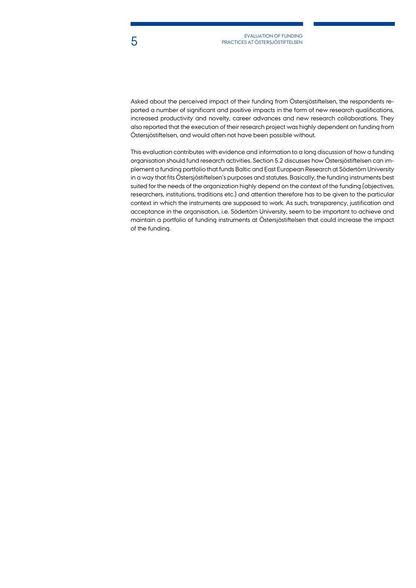Asked about the perceived impact of their funding from Östersjöstiftelsen, the respondents reported a number of significant and positive impacts in the form of new research qualifications, increased productivity and novelty, career advances and new research collaborations. They also reported that the execution of their research project was highly dependent on funding from Östersjöstiftelsen, and would often not have been possible without.

This evaluation contributes with evidence and information to a long discussion of how a funding organisation should fund research activities. Section 5.2 discusses how Östersjöstiftelsen can implement a funding portfolio that funds Baltic and East European Research at Södertörn University in a way that fits Östersjöstiftelsen's purposes and statutes. Basically, the funding instruments best suited for the needs of the organization highly depend on the context of the funding (objectives, researchers, institutions, traditions etc.) and attention therefore has to be given to the particular context in which the instruments are supposed to work. As such, transparency, justification and acceptance in the organisation, i.e. Södertörn University, seem to be important to achieve and maintain a portfolio of funding instruments at Östersjöstiftelsen that could increase the impact of the funding.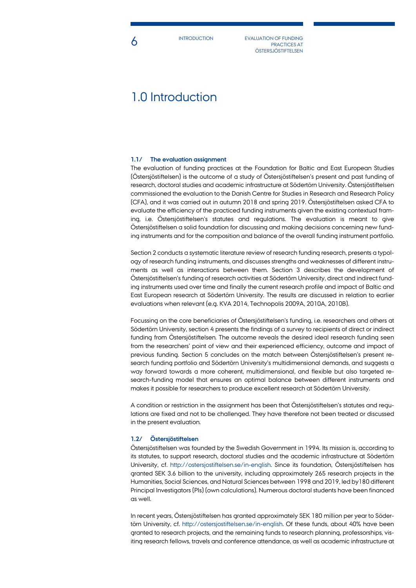**INTRODUCTION** 

**6** INTRODUCTION EVALUATION OF FUNDING PRACTICES AT **ÖSTERSJÖSTIFTELSEN** 

## 1.0 Introduction

## **1.1/ The evaluation assignment**

The evaluation of funding practices at the Foundation for Baltic and East European Studies (Östersjöstiftelsen) is the outcome of a study of Östersjöstiftelsen's present and past funding of research, doctoral studies and academic infrastructure at Södertörn University. Östersjöstiftelsen commissioned the evaluation to the Danish Centre for Studies in Research and Research Policy (CFA), and it was carried out in autumn 2018 and spring 2019. Östersjöstiftelsen asked CFA to evaluate the efficiency of the practiced funding instruments given the existing contextual framing, i.e. Östersjöstiftelsen's statutes and regulations. The evaluation is meant to give Östersjöstiftelsen a solid foundation for discussing and making decisions concerning new funding instruments and for the composition and balance of the overall funding instrument portfolio.

Section 2 conducts a systematic literature review of research funding research, presents a typology of research funding instruments, and discusses strengths and weaknesses of different instruments as well as interactions between them. Section 3 describes the development of Östersjöstiftelsen's funding of research activities at Södertörn University, direct and indirect funding instruments used over time and finally the current research profile and impact of Baltic and East European research at Södertörn University. The results are discussed in relation to earlier evaluations when relevant (e.g. KVA 2014, Technopolis 2009A, 2010A, 2010B).

Focussing on the core beneficiaries of Östersjöstiftelsen's funding, i.e. researchers and others at Södertörn University, section 4 presents the findings of a survey to recipients of direct or indirect funding from Östersjöstiftelsen. The outcome reveals the desired ideal research funding seen from the researchers' point of view and their experienced efficiency, outcome and impact of previous funding. Section 5 concludes on the match between Östersjöstiftelsen's present research funding portfolio and Södertörn University's multidimensional demands, and suggests a way forward towards a more coherent, multidimensional, and flexible but also targeted research-funding model that ensures an optimal balance between different instruments and makes it possible for researchers to produce excellent research at Södertörn University.

A condition or restriction in the assignment has been that Östersjöstiftelsen's statutes and regulations are fixed and not to be challenged. They have therefore not been treated or discussed in the present evaluation.

## **1.2/ Östersjöstiftelsen**

Östersjöstiftelsen was founded by the Swedish Government in 1994. Its mission is, according to its statutes, to support research, doctoral studies and the academic infrastructure at Södertörn University, cf. [http://ostersjostiftelsen.se/in-english.](http://ostersjostiftelsen.se/in-english) Since its foundation, Östersjöstiftelsen has granted SEK 3.6 billion to the university, including approximately 265 research projects in the Humanities, Social Sciences, and Natural Sciences between 1998 and 2019, led by180 different Principal Investigators (PIs) (own calculations). Numerous doctoral students have been financed as well.

In recent years, Östersjöstiftelsen has granted approximately SEK 180 million per year to Södertörn University, cf. [http://ostersjostiftelsen.se/in-english.](http://ostersjostiftelsen.se/in-english) Of these funds, about 40% have been granted to research projects, and the remaining funds to research planning, professorships, visiting research fellows, travels and conference attendance, as well as academic infrastructure at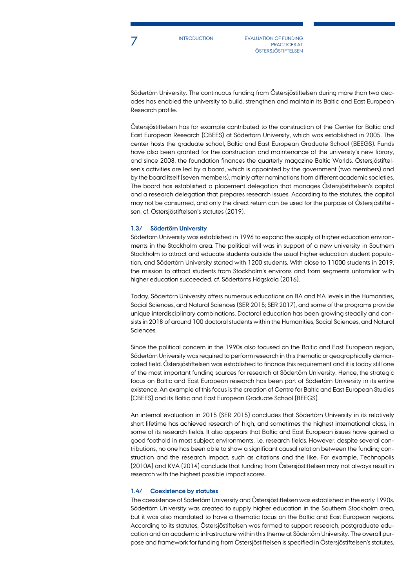**INTRODUCTION** 

EVALUATION OF FUNDING PRACTICES AT **ÖSTERSJÖSTIFTELSEN** 

Södertörn University. The continuous funding from Östersjöstiftelsen during more than two decades has enabled the university to build, strengthen and maintain its Baltic and East European Research profile.

Östersjöstiftelsen has for example contributed to the construction of the Center for Baltic and East European Research (CBEES) at Södertörn University, which was established in 2005. The center hosts the graduate school, Baltic and East European Graduate School (BEEGS). Funds have also been granted for the construction and maintenance of the university's new library, and since 2008, the foundation finances the quarterly magazine Baltic Worlds. Östersjöstiftelsen's activities are led by a board, which is appointed by the government (two members) and by the board itself (seven members), mainly after nominations from different academic societies. The board has established a placement delegation that manages Östersjöstiftelsen's capital and a research delegation that prepares research issues. According to the statutes, the capital may not be consumed, and only the direct return can be used for the purpose of Östersjöstiftelsen, cf. Östersjöstiftelsen's statutes (2019).

### **1.3/ Södertörn University**

Södertörn University was established in 1996 to expand the supply of higher education environments in the Stockholm area. The political will was in support of a new university in Southern Stockholm to attract and educate students outside the usual higher education student population, and Södertörn University started with 1200 students. With close to 11000 students in 2019, the mission to attract students from Stockholm's environs and from segments unfamiliar with higher education succeeded, cf. Södertörns Högskola (2016).

Today, Södertörn University offers numerous educations on BA and MA levels in the Humanities, Social Sciences, and Natural Sciences (SER 2015; SER 2017), and some of the programs provide unique interdisciplinary combinations. Doctoral education has been growing steadily and consists in 2018 of around 100 doctoral students within the Humanities, Social Sciences, and Natural Sciences.

Since the political concern in the 1990s also focused on the Baltic and East European region, Södertörn University was required to perform research in this thematic or geographically demarcated field. Östersjöstiftelsen was established to finance this requirement and it is today still one of the most important funding sources for research at Södertörn University. Hence, the strategic focus on Baltic and East European research has been part of Södertörn University in its entire existence. An example of this focus is the creation of Centre for Baltic and East European Studies (CBEES) and its Baltic and East European Graduate School (BEEGS).

An internal evaluation in 2015 (SER 2015) concludes that Södertörn University in its relatively short lifetime has achieved research of high, and sometimes the highest international class, in some of its research fields. It also appears that Baltic and East European issues have gained a good foothold in most subject environments, i.e. research fields. However, despite several contributions, no one has been able to show a significant causal relation between the funding construction and the research impact, such as citations and the like. For example, Technopolis (2010A) and KVA (2014) conclude that funding from Östersjöstiftelsen may not always result in research with the highest possible impact scores.

#### **1.4/ Coexistence by statutes**

The coexistence of Södertörn University and Östersjöstiftelsen was established in the early 1990s. Södertörn University was created to supply higher education in the Southern Stockholm area, but it was also mandated to have a thematic focus on the Baltic and East European regions. According to its statutes, Östersjöstiftelsen was formed to support research, postgraduate education and an academic infrastructure within this theme at Södertörn University. The overall purpose and framework for funding from Östersjöstiftelsen is specified in Östersjöstiftelsen's statutes.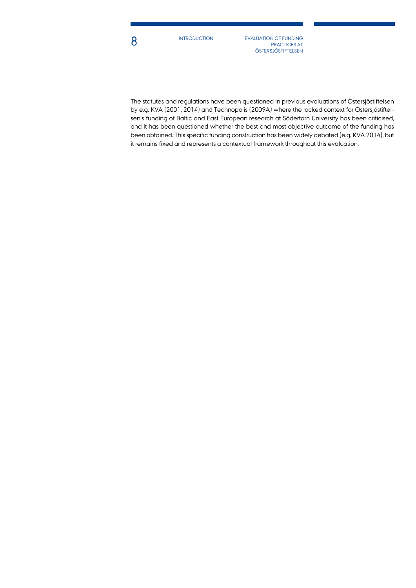INTRODUCTION

**8** INTRODUCTION EVALUATION OF FUNDING PRACTICES AT **ÖSTERSJÖSTIFTELSEN** 

The statutes and regulations have been questioned in previous evaluations of Östersjöstiftelsen by e.g. KVA (2001, 2014) and Technopolis (2009A) where the locked context for Östersjöstiftelsen's funding of Baltic and East European research at Södertörn University has been criticised, and it has been questioned whether the best and most objective outcome of the funding has been obtained. This specific funding construction has been widely debated (e.g. KVA 2014), but it remains fixed and represents a contextual framework throughout this evaluation.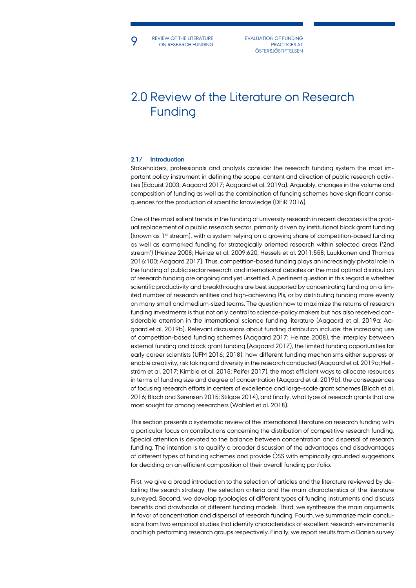**9** BEVIEW OF THE LITERATURE EVALUATION OF FUNDING PRACTICES AT REVIEW OF THE LITERATURE

PRACTICES AT **ÖSTERSJÖSTIFTELSEN** 

# 2.0 Review of the Literature on Research Funding

## **2.1/ Introduction**

Stakeholders, professionals and analysts consider the research funding system the most important policy instrument in defining the scope, content and direction of public research activities (Edquist 2003; Aagaard 2017; Aagaard et al. 2019a). Arguably, changes in the volume and composition of funding as well as the combination of funding schemes have significant consequences for the production of scientific knowledge (DFiR 2016).

One of the most salient trends in the funding of university research in recent decades is the gradual replacement of a public research sector, primarily driven by institutional block grant funding (known as 1<sup>st</sup> stream), with a system relying on a growing share of competition-based funding as well as earmarked funding for strategically oriented research within selected areas ('2nd stream') (Heinze 2008; Heinze et al. 2009:620; Hessels et al. 2011:558; Luukkonen and Thomas 2016:100; Aagaard 2017). Thus, competition-based funding plays an increasingly pivotal role in the funding of public sector research, and international debates on the most optimal distribution of research funding are ongoing and yet unsettled. A pertinent question in this regard is whether scientific productivity and breakthroughs are best supported by concentrating funding on a limited number of research entities and high-achieving PIs, or by distributing funding more evenly on many small and medium-sized teams. The question how to maximize the returns of research funding investments is thus not only central to science-policy makers but has also received considerable attention in the international science funding literature (Aagaard et al. 2019a; Aagaard et al. 2019b). Relevant discussions about funding distribution include: the increasing use of competition-based funding schemes (Aagaard 2017; Heinze 2008), the interplay between external funding and block grant funding (Aagaard 2017), the limited funding opportunities for early career scientists (UFM 2016; 2018), how different funding mechanisms either suppress or enable creativity, risk taking and diversity in the research conducted (Aagaard et al. 2019a; Hellström et al. 2017; Kimble et al. 2015; Peifer 2017), the most efficient ways to allocate resources in terms of funding size and degree of concentration (Aagaard et al. 2019b), the consequences of focusing research efforts in centers of excellence and large-scale grant schemes (Bloch et al. 2016; Bloch and Sørensen 2015; Stilgoe 2014), and finally, what type of research grants that are most sought for among researchers (Wohlert et al. 2018).

This section presents a systematic review of the international literature on research funding with a particular focus on contributions concerning the distribution of competitive research funding. Special attention is devoted to the balance between concentration and dispersal of research funding. The intention is to qualify a broader discussion of the advantages and disadvantages of different types of funding schemes and provide ÖSS with empirically grounded suggestions for deciding on an efficient composition of their overall funding portfolio.

First, we give a broad introduction to the selection of articles and the literature reviewed by detailing the search strategy, the selection criteria and the main characteristics of the literature surveyed. Second, we develop typologies of different types of funding instruments and discuss benefits and drawbacks of different funding models. Third, we synthesize the main arguments in favor of concentration and dispersal of research funding. Fourth, we summarize main conclusions from two empirical studies that identify characteristics of excellent research environments and high performing research groups respectively. Finally, we report results from a Danish survey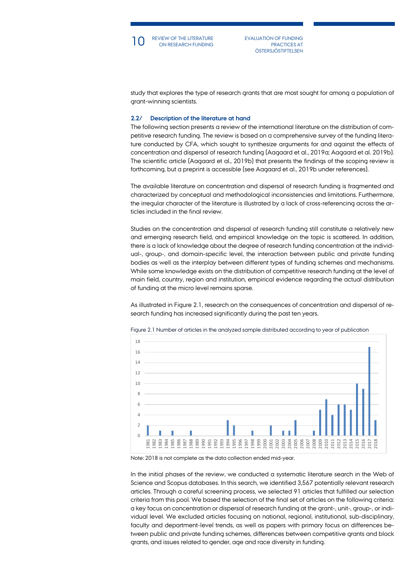

PRACTICES AT **ÖSTERSJÖSTIFTELSEN** 

study that explores the type of research grants that are most sought for among a population of grant-winning scientists.

## **2.2/ Description of the literature at hand**

The following section presents a review of the international literature on the distribution of competitive research funding. The review is based on a comprehensive survey of the funding literature conducted by CFA, which sought to synthesize arguments for and against the effects of concentration and dispersal of research funding (Aagaard et al., 2019a; Aagaard et al. 2019b). The scientific article (Aagaard et al., 2019b) that presents the findings of the scoping review is forthcoming, but a preprint is accessible (see Aagaard et al., 2019b under references).

The available literature on concentration and dispersal of research funding is fragmented and characterized by conceptual and methodological inconsistencies and limitations. Furthermore, the irregular character of the literature is illustrated by a lack of cross-referencing across the articles included in the final review.

Studies on the concentration and dispersal of research funding still constitute a relatively new and emerging research field, and empirical knowledge on the topic is scattered. In addition, there is a lack of knowledge about the degree of research funding concentration at the individual-, group-, and domain-specific level, the interaction between public and private funding bodies as well as the interplay between different types of funding schemes and mechanisms. While some knowledge exists on the distribution of competitive research funding at the level of main field, country, region and institution, empirical evidence regarding the actual distribution of funding at the micro level remains sparse.

As illustrated in Figure 2.1, research on the consequences of concentration and dispersal of research funding has increased significantly during the past ten years.



Figure 2.1 Number of articles in the analyzed sample distributed according to year of publication

In the initial phases of the review, we conducted a systematic literature search in the Web of Science and Scopus databases. In this search, we identified 3,567 potentially relevant research articles. Through a careful screening process, we selected 91 articles that fulfilled our selection criteria from this pool. We based the selection of the final set of articles on the following criteria: a key focus on concentration or dispersal of research funding at the grant-, unit-, group-, or individual level. We excluded articles focusing on national, regional, institutional, sub-disciplinary, faculty and department-level trends, as well as papers with primary focus on differences between public and private funding schemes, differences between competitive grants and block grants, and issues related to gender, age and race diversity in funding.

Note: 2018 is not complete as the data collection ended mid-year.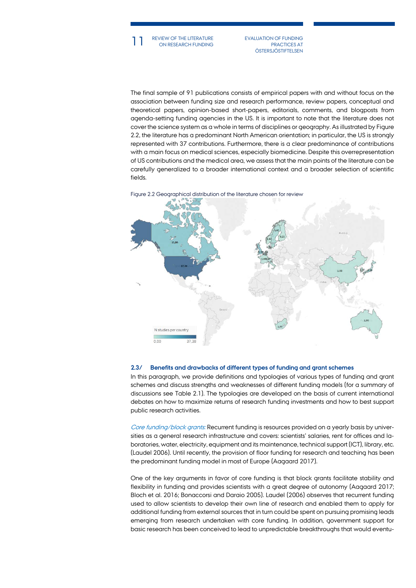11 REVIEW OF THE LITERATURE EVALUATION OF FUNDING<br>
ON RESEARCH FUNDING PRACTICES AT REVIEW OF THE LITERATURE

PRACTICES AT **ÖSTERSJÖSTIFTELSEN** 

The final sample of 91 publications consists of empirical papers with and without focus on the association between funding size and research performance, review papers, conceptual and theoretical papers, opinion-based short-papers, editorials, comments, and blogposts from agenda-setting funding agencies in the US. It is important to note that the literature does not cover the science system as a whole in terms of disciplines or geography. As illustrated by Figure 2.2, the literature has a predominant North American orientation; in particular, the US is strongly represented with 37 contributions. Furthermore, there is a clear predominance of contributions with a main focus on medical sciences, especially biomedicine. Despite this overrepresentation of US contributions and the medical area, we assess that the main points of the literature can be carefully generalized to a broader international context and a broader selection of scientific fields.





#### **2.3/ Benefits and drawbacks of different types of funding and grant schemes**

In this paragraph, we provide definitions and typologies of various types of funding and grant schemes and discuss strengths and weaknesses of different funding models (for a summary of discussions see Table 2.1). The typologies are developed on the basis of current international debates on how to maximize returns of research funding investments and how to best support public research activities.

Core funding/block grants: Recurrent funding is resources provided on a yearly basis by universities as a general research infrastructure and covers: scientists' salaries, rent for offices and laboratories, water, electricity, equipment and its maintenance, technical support (ICT), library, etc. (Laudel 2006). Until recently, the provision of floor funding for research and teaching has been the predominant funding model in most of Europe (Aagaard 2017).

One of the key arguments in favor of core funding is that block grants facilitate stability and flexibility in funding and provides scientists with a great degree of autonomy (Aagaard 2017; Bloch et al. 2016; Bonaccorsi and Daraio 2005). Laudel (2006) observes that recurrent funding used to allow scientists to develop their own line of research and enabled them to apply for additional funding from external sources that in turn could be spent on pursuing promising leads emerging from research undertaken with core funding. In addition, government support for basic research has been conceived to lead to unpredictable breakthroughs that would eventu-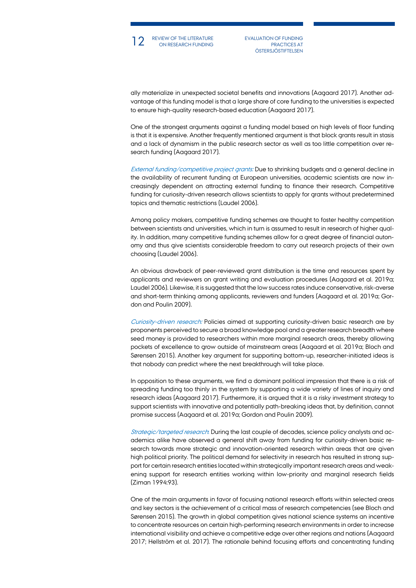

12 REVIEW OF THE LITERATURE EVALUATION OF FUNDING<br>
ON RESEARCH FUNDING PRACTICES AT PRACTICES AT **ÖSTERSJÖSTIFTELSEN** 

ally materialize in unexpected societal benefits and innovations (Aagaard 2017). Another advantage of this funding model is that a large share of core funding to the universities is expected to ensure high-quality research-based education (Aagaard 2017).

One of the strongest arguments against a funding model based on high levels of floor funding is that it is expensive. Another frequently mentioned argument is that block grants result in stasis and a lack of dynamism in the public research sector as well as too little competition over research funding (Aagaard 2017).

External funding/competitive project grants: Due to shrinking budgets and a general decline in the availability of recurrent funding at European universities, academic scientists are now increasingly dependent on attracting external funding to finance their research. Competitive funding for curiosity-driven research allows scientists to apply for grants without predetermined topics and thematic restrictions (Laudel 2006).

Among policy makers, competitive funding schemes are thought to foster healthy competition between scientists and universities, which in turn is assumed to result in research of higher quality. In addition, many competitive funding schemes allow for a great degree of financial autonomy and thus give scientists considerable freedom to carry out research projects of their own choosing (Laudel 2006).

An obvious drawback of peer-reviewed grant distribution is the time and resources spent by applicants and reviewers on grant writing and evaluation procedures (Aagaard et al. 2019a; Laudel 2006). Likewise, it is suggested that the low success rates induce conservative, risk-averse and short-term thinking among applicants, reviewers and funders (Aagaard et al. 2019a; Gordon and Poulin 2009).

Curiosity-driven research: Policies aimed at supporting curiosity-driven basic research are by proponents perceived to secure a broad knowledge pool and a greater research breadth where seed money is provided to researchers within more marginal research areas, thereby allowing pockets of excellence to grow outside of mainstream areas (Aagaard et al. 2019a; Bloch and Sørensen 2015). Another key argument for supporting bottom-up, researcher-initiated ideas is that nobody can predict where the next breakthrough will take place.

In opposition to these arguments, we find a dominant political impression that there is a risk of spreading funding too thinly in the system by supporting a wide variety of lines of inquiry and research ideas (Aagaard 2017). Furthermore, it is argued that it is a risky investment strategy to support scientists with innovative and potentially path-breaking ideas that, by definition, cannot promise success (Aagaard et al. 2019a; Gordon and Poulin 2009).

Strategic/targeted research: During the last couple of decades, science policy analysts and academics alike have observed a general shift away from funding for curiosity-driven basic research towards more strategic and innovation-oriented research within areas that are given high political priority. The political demand for selectivity in research has resulted in strong support for certain research entities located within strategically important research areas and weakening support for research entities working within low-priority and marginal research fields (Ziman 1994:93).

One of the main arguments in favor of focusing national research efforts within selected areas and key sectors is the achievement of a critical mass of research competencies (see Bloch and Sørensen 2015). The growth in global competition gives national science systems an incentive to concentrate resources on certain high-performing research environments in order to increase international visibility and achieve a competitive edge over other regions and nations (Aagaard 2017; Hellström et al. 2017). The rationale behind focusing efforts and concentrating funding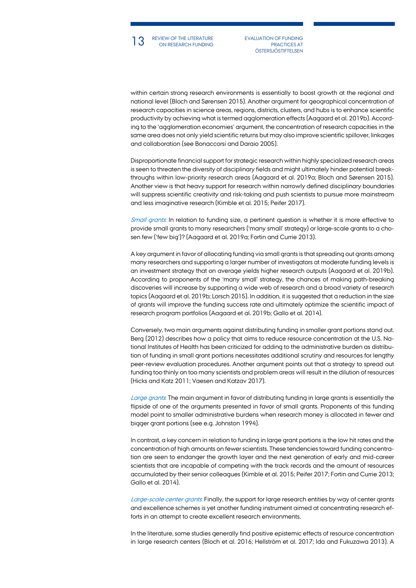

13 REVIEW OF THE LITERATURE EVALUATION OF FUNDING<br>
ON RESEARCH FUNDING PRACTICES AT PRACTICES AT **ÖSTERSJÖSTIFTELSEN** 

within certain strong research environments is essentially to boost growth at the regional and national level (Bloch and Sørensen 2015). Another argument for geographical concentration of research capacities in science areas, regions, districts, clusters, and hubs is to enhance scientific productivity by achieving what is termed agglomeration effects (Aagaard et al. 2019b). According to the 'agglomeration economies' argument, the concentration of research capacities in the same area does not only yield scientific returns but may also improve scientific spillover, linkages and collaboration (see Bonaccorsi and Daraio 2005).

Disproportionate financial support for strategic research within highly specialized research areas is seen to threaten the diversity of disciplinary fields and might ultimately hinder potential breakthroughs within low-priority research areas (Aagaard et al. 2019a; Bloch and Sørensen 2015). Another view is that heavy support for research within narrowly defined disciplinary boundaries will suppress scientific creativity and risk-taking and push scientists to pursue more mainstream and less imaginative research (Kimble et al. 2015; Peifer 2017).

Small grants: In relation to funding size, a pertinent question is whether it is more effective to provide small grants to many researchers ('many small' strategy) or large-scale grants to a chosen few ('few big')? (Aagaard et al. 2019a; Fortin and Currie 2013).

A key argument in favor of allocating funding via small grants is that spreading out grants among many researchers and supporting a larger number of investigators at moderate funding levels is an investment strategy that on average yields higher research outputs (Aagaard et al. 2019b). According to proponents of the 'many small' strategy, the chances of making path-breaking discoveries will increase by supporting a wide web of research and a broad variety of research topics (Aagaard et al. 2019b; Lorsch 2015). In addition, it is suggested that a reduction in the size of grants will improve the funding success rate and ultimately optimize the scientific impact of research program portfolios (Aagaard et al. 2019b; Gallo et al. 2014).

Conversely, two main arguments against distributing funding in smaller grant portions stand out. Berg (2012) describes how a policy that aims to reduce resource concentration at the U.S. National Institutes of Health has been criticized for adding to the administrative burden as distribution of funding in small grant portions necessitates additional scrutiny and resources for lengthy peer-review evaluation procedures. Another argument points out that a strategy to spread out funding too thinly on too many scientists and problem areas will result in the dilution of resources (Hicks and Katz 2011; Vaesen and Katzav 2017).

Large grants. The main argument in favor of distributing funding in large grants is essentially the flipside of one of the arguments presented in favor of small grants. Proponents of this funding model point to smaller administrative burdens when research money is allocated in fewer and bigger grant portions (see e.g. Johnston 1994).

In contrast, a key concern in relation to funding in large grant portions is the low hit rates and the concentration of high amounts on fewer scientists. These tendencies toward funding concentration are seen to endanger the growth layer and the next generation of early and mid-career scientists that are incapable of competing with the track records and the amount of resources accumulated by their senior colleagues (Kimble et al. 2015; Peifer 2017; Fortin and Currie 2013; Gallo et al. 2014).

Large-scale center grants. Finally, the support for large research entities by way of center grants and excellence schemes is yet another funding instrument aimed at concentrating research efforts in an attempt to create excellent research environments.

In the literature, some studies generally find positive epistemic effects of resource concentration in large research centers (Bloch et al. 2016; Hellström et al. 2017; Ida and Fukuzawa 2013). A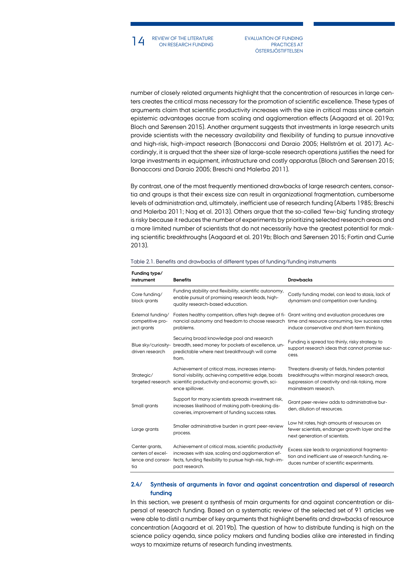14 REVIEW OF THE LITERATURE EVALUATION OF FUNDING<br>
ON RESEARCH FUNDING PRACTICES AT ON RESEARCH FUNDING

PRACTICES AT **ÖSTERSJÖSTIFTELSEN** 

number of closely related arguments highlight that the concentration of resources in large centers creates the critical mass necessary for the promotion of scientific excellence. These types of arguments claim that scientific productivity increases with the size in critical mass since certain epistemic advantages accrue from scaling and agglomeration effects (Aagaard et al. 2019a; Bloch and Sørensen 2015). Another argument suggests that investments in large research units provide scientists with the necessary availability and flexibility of funding to pursue innovative and high-risk, high-impact research (Bonaccorsi and Daraio 2005; Hellström et al. 2017). Accordingly, it is argued that the sheer size of large-scale research operations justifies the need for large investments in equipment, infrastructure and costly apparatus (Bloch and Sørensen 2015; Bonaccorsi and Daraio 2005; Breschi and Malerba 2011).

By contrast, one of the most frequently mentioned drawbacks of large research centers, consortia and groups is that their excess size can result in organizational fragmentation, cumbersome levels of administration and, ultimately, inefficient use of research funding (Alberts 1985; Breschi and Malerba 2011; Nag et al. 2013). Others argue that the so-called 'few-big' funding strategy is risky because it reduces the number of experiments by prioritizing selected research areas and a more limited number of scientists that do not necessarily have the greatest potential for making scientific breakthroughs (Aagaard et al. 2019b; Bloch and Sørensen 2015; Fortin and Currie 2013).

| Funding type/<br>instrument                                     | <b>Benefits</b>                                                                                                                                                                                                   | <b>Drawbacks</b>                                                                                                                                                             |
|-----------------------------------------------------------------|-------------------------------------------------------------------------------------------------------------------------------------------------------------------------------------------------------------------|------------------------------------------------------------------------------------------------------------------------------------------------------------------------------|
| Core funding/<br>block grants                                   | Funding stability and flexibility, scientific autonomy,<br>enable pursuit of promising research leads, high-<br>quality research-based education.                                                                 | Costly funding model, can lead to stasis, lack of<br>dynamism and competition over funding.                                                                                  |
| External funding/<br>competitive pro-<br>ject grants            | Fosters healthy competition, offers high degree of fi- Grant writing and evaluation procedures are<br>nancial autonomy and freedom to choose research time and resource consuming, low success rates<br>problems. | induce conservative and short-term thinking.                                                                                                                                 |
| Blue sky/curiosity-<br>driven research                          | Securing broad knowledge pool and research<br>breadth, seed money for pockets of excellence, un-<br>predictable where next breakthrough will come<br>from.                                                        | Funding is spread too thinly, risky strategy to<br>support research ideas that cannot promise suc-<br>cess.                                                                  |
| Strategic/                                                      | Achievement of critical mass, increases interna-<br>tional visibility, achieving competitive edge, boosts<br>targeted research scientific productivity and economic growth, sci-<br>ence spillover.               | Threatens diversity of fields, hinders potential<br>breakthroughs within marginal research areas,<br>suppression of creativity and risk-taking, more<br>mainstream research. |
| Small grants                                                    | Support for many scientists spreads investment risk,<br>increases likelihood of making path-breaking dis-<br>coveries, improvement of funding success rates.                                                      | Grant peer-review adds to administrative bur-<br>den. dilution of resources.                                                                                                 |
| Large grants                                                    | Smaller administrative burden in grant peer-review<br>process.                                                                                                                                                    | Low hit rates, high amounts of resources on<br>fewer scientists, endanger growth layer and the<br>next generation of scientists.                                             |
| Center grants,<br>centers of excel-<br>lence and consor-<br>tia | Achievement of critical mass, scientific productivity<br>increases with size, scaling and agglomeration ef-<br>fects, funding flexibility to pursue high-risk, high-im-<br>pact research.                         | Excess size leads to organizational fragmenta-<br>tion and inefficient use of research funding, re-<br>duces number of scientific experiments.                               |

#### Table 2.1. Benefits and drawbacks of different types of funding/funding instruments

## **2.4/ Synthesis of arguments in favor and against concentration and dispersal of research funding**

In this section, we present a synthesis of main arguments for and against concentration or dispersal of research funding. Based on a systematic review of the selected set of 91 articles we were able to distil a number of key arguments that highlight benefits and drawbacks of resource concentration (Aagaard et al. 2019b). The question of how to distribute funding is high on the science policy agenda, since policy makers and funding bodies alike are interested in finding ways to maximize returns of research funding investments.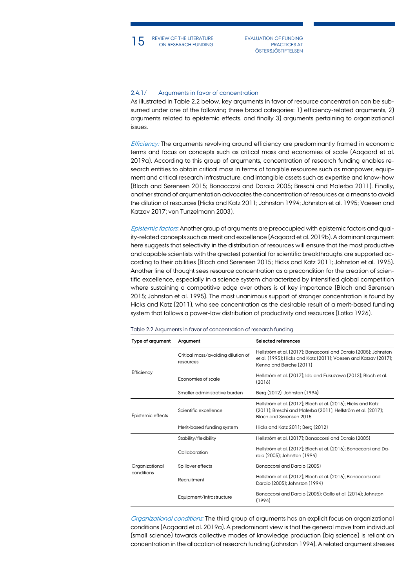ON RESEARCH FUNDING

15 REVIEW OF THE LITERATURE EVALUATION OF FUNDING<br>
PRACTICES AT THE LITERATURE EVALUATION OF FUNDING PRACTICES AT **ÖSTERSJÖSTIFTELSEN** 

## 2.4.1/ Arguments in favor of concentration

As illustrated in Table 2.2 below, key arguments in favor of resource concentration can be subsumed under one of the following three broad categories: 1) efficiency-related arguments, 2) arguments related to epistemic effects, and finally 3) arguments pertaining to organizational issues.

Efficiency: The arguments revolving around efficiency are predominantly framed in economic terms and focus on concepts such as critical mass and economies of scale (Aagaard et al. 2019a). According to this group of arguments, concentration of research funding enables research entities to obtain critical mass in terms of tangible resources such as manpower, equipment and critical research infrastructure, and intangible assets such as expertise and know-how (Bloch and Sørensen 2015; Bonaccorsi and Daraio 2005; Breschi and Malerba 2011). Finally, another strand of argumentation advocates the concentration of resources as a means to avoid the dilution of resources (Hicks and Katz 2011; Johnston 1994; Johnston et al. 1995; Vaesen and Katzav 2017; von Tunzelmann 2003).

Epistemic factors: Another group of arguments are preoccupied with epistemic factors and quality-related concepts such as merit and excellence (Aagaard et al. 2019b). A dominant argument here suggests that selectivity in the distribution of resources will ensure that the most productive and capable scientists with the greatest potential for scientific breakthroughs are supported according to their abilities (Bloch and Sørensen 2015; Hicks and Katz 2011; Johnston et al. 1995). Another line of thought sees resource concentration as a precondition for the creation of scientific excellence, especially in a science system characterized by intensified global competition where sustaining a competitive edge over others is of key importance (Bloch and Sørensen 2015; Johnston et al. 1995). The most unanimous support of stronger concentration is found by Hicks and Katz (2011), who see concentration as the desirable result of a merit-based funding system that follows a power-law distribution of productivity and resources (Lotka 1926).

| Type of argument  | Argument                                        | Selected references                                                                                                                                           |  |  |  |
|-------------------|-------------------------------------------------|---------------------------------------------------------------------------------------------------------------------------------------------------------------|--|--|--|
|                   | Critical mass/avoiding dilution of<br>resources | Hellström et al. (2017); Bonaccorsi and Daraio (2005); Johnston<br>et al. (1995); Hicks and Katz (2011); Vaesen and Katzav (2017);<br>Kenna and Berche (2011) |  |  |  |
| Efficiency        | Economies of scale                              | Hellström et al. (2017); Ida and Fukuzawa (2013); Bloch et al.<br>(2016)                                                                                      |  |  |  |
|                   | Smaller administrative burden                   | Berg (2012); Johnston (1994)                                                                                                                                  |  |  |  |
| Epistemic effects | Scientific excellence                           | Hellström et al. (2017); Bloch et al. (2016); Hicks and Katz<br>(2011); Breschi and Malerba (2011); Hellström et al. (2017);<br>Bloch and Sørensen 2015       |  |  |  |
|                   | Merit-based funding system                      | Hicks and Katz 2011; Berg (2012)                                                                                                                              |  |  |  |
|                   | Stability/flexibility                           | Hellström et al. (2017); Bonaccorsi and Daraio (2005)                                                                                                         |  |  |  |
|                   | Collaboration                                   | Hellström et al. (2017); Bloch et al. (2016); Bonaccorsi and Da-<br>raio (2005): Johnston (1994)                                                              |  |  |  |
| Organizational    | Spillover effects                               | Bonaccorsi and Daraio (2005)                                                                                                                                  |  |  |  |
| conditions        | Recruitment                                     | Hellström et al. (2017); Bloch et al. (2016); Bonaccorsi and<br>Daraio (2005); Johnston (1994)                                                                |  |  |  |
|                   | Equipment/infrastructure                        | Bonaccorsi and Daraio (2005): Gallo et al. (2014): Johnston<br>(1994)                                                                                         |  |  |  |

#### Table 2.2 Arguments in favor of concentration of research funding

Organizational conditions: The third group of arguments has an explicit focus on organizational conditions (Aagaard et al. 2019a). A predominant view is that the general move from individual (small science) towards collective modes of knowledge production (big science) is reliant on concentration in the allocation of research funding (Johnston 1994). A related argument stresses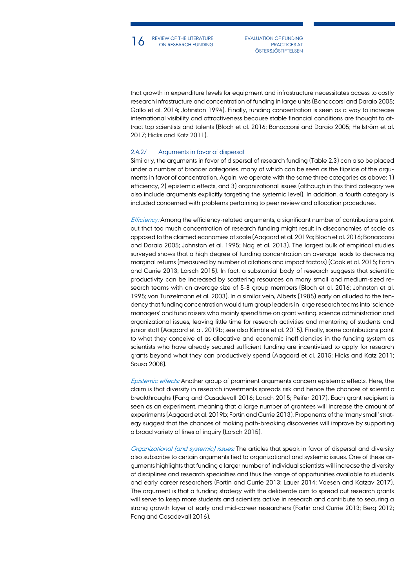

16 REVIEW OF THE LITERATURE EVALUATION OF FUNDING<br>
PRACTICES AT THE LITERATURE EVALUATION OF FUNDING REVIEW OF THE LITERATURE

PRACTICES AT **ÖSTERSJÖSTIFTELSEN** 

that growth in expenditure levels for equipment and infrastructure necessitates access to costly research infrastructure and concentration of funding in large units (Bonaccorsi and Daraio 2005; Gallo et al. 2014; Johnston 1994). Finally, funding concentration is seen as a way to increase international visibility and attractiveness because stable financial conditions are thought to attract top scientists and talents (Bloch et al. 2016; Bonaccorsi and Daraio 2005; Hellström et al. 2017; Hicks and Katz 2011).

## 2.4.2/ Arguments in favor of dispersal

Similarly, the arguments in favor of dispersal of research funding (Table 2.3) can also be placed under a number of broader categories, many of which can be seen as the flipside of the arguments in favor of concentration. Again, we operate with the same three categories as above: 1) efficiency, 2) epistemic effects, and 3) organizational issues (although in this third category we also include arguments explicitly targeting the systemic level). In addition, a fourth category is included concerned with problems pertaining to peer review and allocation procedures.

Efficiency: Among the efficiency-related arguments, a significant number of contributions point out that too much concentration of research funding might result in diseconomies of scale as opposed to the claimed economies of scale (Aagaard et al. 2019a; Bloch et al. 2016; Bonaccorsi and Daraio 2005; Johnston et al. 1995; Nag et al. 2013). The largest bulk of empirical studies surveyed shows that a high degree of funding concentration on average leads to decreasing marginal returns (measured by number of citations and impact factors) (Cook et al. 2015; Fortin and Currie 2013; Lorsch 2015). In fact, a substantial body of research suggests that scientific productivity can be increased by scattering resources on many small and medium-sized research teams with an average size of 5-8 group members (Bloch et al. 2016; Johnston et al. 1995; von Tunzelmann et al. 2003). In a similar vein, Alberts (1985) early on alluded to the tendency that funding concentration would turn group leaders in large research teams into 'science managers' and fund raisers who mainly spend time on grant writing, science administration and organizational issues, leaving little time for research activities and mentoring of students and junior staff (Aagaard et al. 2019b; see also Kimble et al. 2015). Finally, some contributions point to what they conceive of as allocative and economic inefficiencies in the funding system as scientists who have already secured sufficient funding are incentivized to apply for research grants beyond what they can productively spend (Aagaard et al. 2015; Hicks and Katz 2011; Sousa 2008).

Epistemic effects: Another group of prominent arguments concern epistemic effects. Here, the claim is that diversity in research investments spreads risk and hence the chances of scientific breakthroughs (Fang and Casadevall 2016; Lorsch 2015; Peifer 2017). Each grant recipient is seen as an experiment, meaning that a large number of grantees will increase the amount of experiments (Aagaard et al. 2019b; Fortin and Currie 2013). Proponents of the 'many small' strategy suggest that the chances of making path-breaking discoveries will improve by supporting a broad variety of lines of inquiry (Lorsch 2015).

Organizational (and systemic) issues: The articles that speak in favor of dispersal and diversity also subscribe to certain arguments tied to organizational and systemic issues. One of these arguments highlights that funding a larger number of individual scientists will increase the diversity of disciplines and research specialties and thus the range of opportunities available to students and early career researchers (Fortin and Currie 2013; Lauer 2014; Vaesen and Katzav 2017). The argument is that a funding strategy with the deliberate aim to spread out research grants will serve to keep more students and scientists active in research and contribute to securing a strong growth layer of early and mid-career researchers (Fortin and Currie 2013; Berg 2012; Fang and Casadevall 2016).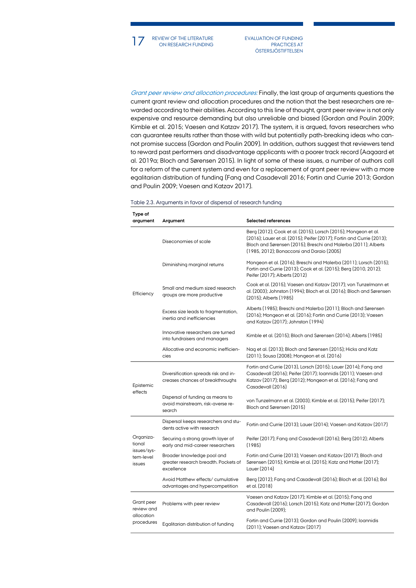17 REVIEW OF THE LITERATURE EVALUATION OF FUNDING<br>
ON RESEARCH FUNDING PRACTICES AT ON RESEARCH FUNDING

PRACTICES AT **ÖSTERSJÖSTIFTELSEN** 

Grant peer review and allocation procedures: Finally, the last group of arguments questions the current grant review and allocation procedures and the notion that the best researchers are rewarded according to their abilities. According to this line of thought, grant peer review is not only expensive and resource demanding but also unreliable and biased (Gordon and Poulin 2009; Kimble et al. 2015; Vaesen and Katzav 2017). The system, it is argued, favors researchers who can guarantee results rather than those with wild but potentially path-breaking ideas who cannot promise success (Gordon and Poulin 2009). In addition, authors suggest that reviewers tend to reward past performers and disadvantage applicants with a poorer track record (Aagaard et al. 2019a; Bloch and Sørensen 2015). In light of some of these issues, a number of authors call for a reform of the current system and even for a replacement of grant peer review with a more egalitarian distribution of funding (Fang and Casadevall 2016; Fortin and Currie 2013; Gordon and Poulin 2009; Vaesen and Katzav 2017).

| Type of<br>argument                             | Argument                                                                         | Selected references                                                                                                                                                                                                                                     |  |  |  |  |
|-------------------------------------------------|----------------------------------------------------------------------------------|---------------------------------------------------------------------------------------------------------------------------------------------------------------------------------------------------------------------------------------------------------|--|--|--|--|
| allocation                                      | Diseconomies of scale                                                            | Berg (2012); Cook et al. (2015); Lorsch (2015); Mongeon et al.<br>(2016); Lauer et al. (2015); Peifer (2017); Fortin and Currie (2013);<br>Bloch and Sørensen (2015); Breschi and Malerba (2011); Alberts<br>(1985, 2012); Bonaccorsi and Daraio (2005) |  |  |  |  |
|                                                 | Diminishing marginal returns                                                     | Mongeon et al. (2016); Breschi and Malerba (2011); Lorsch (2015);<br>Fortin and Currie (2013); Cook et al. (2015); Berg (2010, 2012);<br>Peifer (2017); Alberts (2012)                                                                                  |  |  |  |  |
| Efficiency                                      | Small and medium sized research<br>groups are more productive                    | Cook et al. (2015); Vaesen and Katzav (2017); von Tunzelmann et<br>al. (2003); Johnston (1994); Bloch et al. (2016); Bloch and Sørensen<br>(2015); Alberts (1985)                                                                                       |  |  |  |  |
|                                                 | Excess size leads to fragmentation,<br>inertia and inefficiencies                | Alberts (1985); Breschi and Malerba (2011); Bloch and Sørensen<br>(2016); Mongeon et al. (2016); Fortin and Currie (2013); Vaesen<br>and Katzav (2017); Johnston (1994)                                                                                 |  |  |  |  |
|                                                 | Innovative researchers are turned<br>into fundraisers and managers               | Kimble et al. (2015); Bloch and Sørensen (2014); Alberts (1985)                                                                                                                                                                                         |  |  |  |  |
|                                                 | Allocative and economic inefficien-<br>cies                                      | Nag et al. (2013); Bloch and Sørensen (2015); Hicks and Katz<br>(2011); Sousa (2008); Mongeon et al. (2016)                                                                                                                                             |  |  |  |  |
| Epistemic<br>effects                            | Diversification spreads risk and in-<br>creases chances of breakthroughs         | Fortin and Currie (2013), Lorsch (2015); Lauer (2014); Fang and<br>Casadevall (2016); Peifer (2017); Ioannidis (2011); Vaesen and<br>Katzav (2017); Berg (2012); Mongeon et al. (2016); Fang and<br>Casadevall (2016)                                   |  |  |  |  |
|                                                 | Dispersal of funding as means to<br>avoid mainstream, risk-averse re-<br>search  | von Tunzelmann et al. (2003); Kimble et al. (2015); Peifer (2017);<br>Bloch and Sørensen (2015)                                                                                                                                                         |  |  |  |  |
|                                                 | Dispersal keeps researchers and stu-<br>dents active with research               | Fortin and Currie (2013); Lauer (2014); Vaesen and Katzav (2017)                                                                                                                                                                                        |  |  |  |  |
| Organiza-<br>tional<br>issues/sys-<br>tem-level | Securing a strong growth layer of<br>early and mid-career researchers            | Peifer (2017); Fang and Casadevall (2016); Berg (2012); Alberts<br>(1985)                                                                                                                                                                               |  |  |  |  |
| issues                                          | Broader knowledge pool and<br>greater research breadth. Pockets of<br>excellence | Fortin and Currie (2013); Vaesen and Katzav (2017); Bloch and<br>Sørensen (2015); Kimble et al. (2015); Katz and Matter (2017);<br>Lauer (2014)                                                                                                         |  |  |  |  |
|                                                 | Avoid Matthew effects/ cumulative<br>advantages and hypercompetition             | Berg (2012); Fang and Casadevall (2016); Bloch et al. (2016); Bol<br>et al. (2018)                                                                                                                                                                      |  |  |  |  |
| Grant peer<br>review and                        | Problems with peer review                                                        | Vaesen and Katzav (2017); Kimble et al. (2015); Fang and<br>Casadevall (2016); Lorsch (2015); Katz and Matter (2017); Gordon<br>and Poulin (2009);                                                                                                      |  |  |  |  |
| procedures                                      | Egalitarian distribution of funding                                              | Fortin and Currie (2013); Gordon and Poulin (2009); Ioannidis<br>(2011); Vaesen and Katzav (2017)                                                                                                                                                       |  |  |  |  |

Table 2.3. Arguments in favor of dispersal of research funding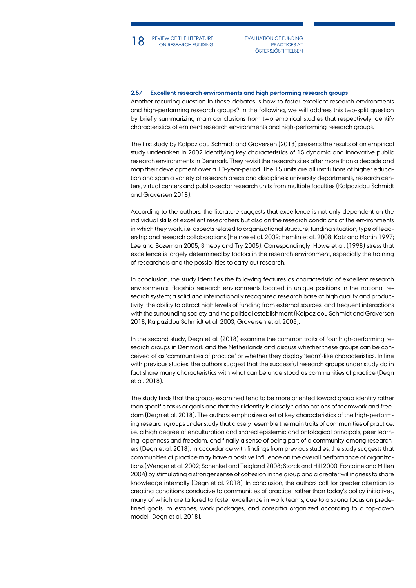18 REVIEW OF THE LITERATURE EVALUATION OF FUNDING<br>
ON RESEARCH FUNDING PRACTICES AT REVIEW OF THE LITERATURE

PRACTICES AT **ÖSTERSJÖSTIFTELSEN** 

### **2.5/ Excellent research environments and high performing research groups**

Another recurring question in these debates is how to foster excellent research environments and high-performing research groups? In the following, we will address this two-split question by briefly summarizing main conclusions from two empirical studies that respectively identify characteristics of eminent research environments and high-performing research groups.

The first study by Kalpazidou Schmidt and Graversen (2018) presents the results of an empirical study undertaken in 2002 identifying key characteristics of 15 dynamic and innovative public research environments in Denmark. They revisit the research sites after more than a decade and map their development over a 10-year-period. The 15 units are all institutions of higher education and span a variety of research areas and disciplines: university departments, research centers, virtual centers and public-sector research units from multiple faculties (Kalpazidou Schmidt and Graversen 2018).

According to the authors, the literature suggests that excellence is not only dependent on the individual skills of excellent researchers but also on the research conditions of the environments in which they work, i.e. aspects related to organizational structure, funding situation, type of leadership and research collaborations (Heinze et al. 2009; Hemlin et al. 2008; Katz and Martin 1997; Lee and Bozeman 2005; Smeby and Try 2005). Correspondingly, Howe et al. (1998) stress that excellence is largely determined by factors in the research environment, especially the training of researchers and the possibilities to carry out research.

In conclusion, the study identifies the following features as characteristic of excellent research environments: flagship research environments located in unique positions in the national research system; a solid and internationally recognized research base of high quality and productivity; the ability to attract high levels of funding from external sources; and frequent interactions with the surrounding society and the political establishment (Kalpazidou Schmidt and Graversen 2018; Kalpazidou Schmidt et al. 2003; Graversen et al. 2005).

In the second study, Degn et al. (2018) examine the common traits of four high-performing research groups in Denmark and the Netherlands and discuss whether these groups can be conceived of as 'communities of practice' or whether they display 'team'-like characteristics. In line with previous studies, the authors suggest that the successful research groups under study do in fact share many characteristics with what can be understood as communities of practice (Degn et al. 2018).

The study finds that the groups examined tend to be more oriented toward group identity rather than specific tasks or goals and that their identity is closely tied to notions of teamwork and freedom (Degn et al. 2018). The authors emphasize a set of key characteristics of the high-performing research groups under study that closely resemble the main traits of communities of practice, i.e. a high degree of enculturation and shared epistemic and ontological principals, peer learning, openness and freedom, and finally a sense of being part of a community among researchers (Degn et al. 2018). In accordance with findings from previous studies, the study suggests that communities of practice may have a positive influence on the overall performance of organizations (Wenger et al. 2002; Schenkel and Teigland 2008; Storck and Hill 2000; Fontaine and Millen 2004) by stimulating a stronger sense of cohesion in the group and a greater willingness to share knowledge internally (Degn et al. 2018). In conclusion, the authors call for greater attention to creating conditions conducive to communities of practice, rather than today's policy initiatives, many of which are tailored to foster excellence in work teams, due to a strong focus on predefined goals, milestones, work packages, and consortia organized according to a top-down model (Degn et al. 2018).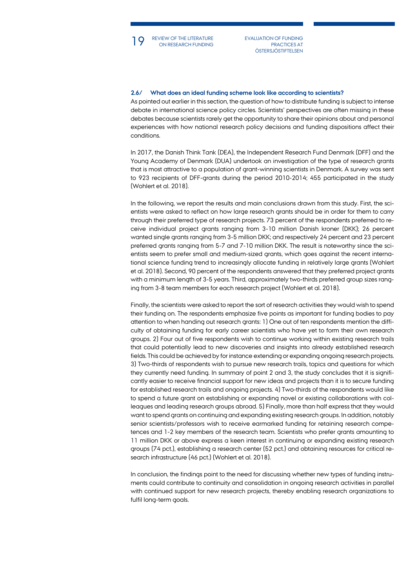REVIEW OF THE LITERATURE

19 REVIEW OF THE LITERATURE EVALUATION OF FUNDING<br>
ON RESEARCH FUNDING PRACTICES AT PRACTICES AT **ÖSTERSJÖSTIFTELSEN** 

#### **2.6/ What does an ideal funding scheme look like according to scientists?**

As pointed out earlier in this section, the question of how to distribute funding is subject to intense debate in international science policy circles. Scientists' perspectives are often missing in these debates because scientists rarely get the opportunity to share their opinions about and personal experiences with how national research policy decisions and funding dispositions affect their conditions.

In 2017, the Danish Think Tank (DEA), the Independent Research Fund Denmark (DFF) and the Young Academy of Denmark (DUA) undertook an investigation of the type of research grants that is most attractive to a population of grant-winning scientists in Denmark. A survey was sent to 923 recipients of DFF-grants during the period 2010-2014; 455 participated in the study (Wohlert et al. 2018).

In the following, we report the results and main conclusions drawn from this study. First, the scientists were asked to reflect on how large research grants should be in order for them to carry through their preferred type of research projects. 73 percent of the respondents preferred to receive individual project grants ranging from 3-10 million Danish kroner (DKK); 26 percent wanted single grants ranging from 3-5 million DKK; and respectively 24 percent and 23 percent preferred grants ranging from 5-7 and 7-10 million DKK. The result is noteworthy since the scientists seem to prefer small and medium-sized grants, which goes against the recent international science funding trend to increasingly allocate funding in relatively large grants (Wohlert et al. 2018). Second, 90 percent of the respondents answered that they preferred project grants with a minimum length of 3-5 years. Third, approximately two-thirds preferred group sizes ranging from 3-8 team members for each research project (Wohlert et al. 2018).

Finally, the scientists were asked to report the sort of research activities they would wish to spend their funding on. The respondents emphasize five points as important for funding bodies to pay attention to when handing out research grants: 1) One out of ten respondents mention the difficulty of obtaining funding for early career scientists who have yet to form their own research groups. 2) Four out of five respondents wish to continue working within existing research trails that could potentially lead to new discoveries and insights into already established research fields. This could be achieved by for instance extending or expanding ongoing research projects. 3) Two-thirds of respondents wish to pursue new research trails, topics and questions for which they currently need funding. In summary of point 2 and 3, the study concludes that it is significantly easier to receive financial support for new ideas and projects than it is to secure funding for established research trails and ongoing projects. 4) Two-thirds of the respondents would like to spend a future grant on establishing or expanding novel or existing collaborations with colleagues and leading research groups abroad. 5) Finally, more than half express that they would want to spend grants on continuing and expanding existing research groups. In addition, notably senior scientists/professors wish to receive earmarked funding for retaining research competences and 1-2 key members of the research team. Scientists who prefer grants amounting to 11 million DKK or above express a keen interest in continuing or expanding existing research groups (74 pct.), establishing a research center (52 pct.) and obtaining resources for critical research infrastructure (46 pct.) (Wohlert et al. 2018).

In conclusion, the findings point to the need for discussing whether new types of funding instruments could contribute to continuity and consolidation in ongoing research activities in parallel with continued support for new research projects, thereby enabling research organizations to fulfil long-term goals.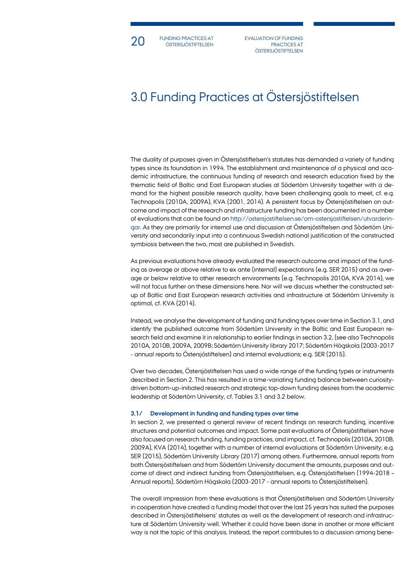

20 FUNDING PRACTICES AT EVALUATION OF FUNDING FUNDING PRACTICES AT **ÖSTERSJÖSTIFTELSEN** 

PRACTICES AT **ÖSTERSJÖSTIFTELSEN** 

# 3.0 Funding Practices at Östersjöstiftelsen

The duality of purposes given in Östersjöstiftelsen's statutes has demanded a variety of funding types since its foundation in 1994. The establishment and maintenance of a physical and academic infrastructure, the continuous funding of research and research education fixed by the thematic field of Baltic and East European studies at Södertörn University together with a demand for the highest possible research quality, have been challenging goals to meet, cf. e.g. Technopolis (2010A, 2009A), KVA (2001, 2014). A persistent focus by Östersjöstiftelsen on outcome and impact of the research and infrastructure funding has been documented in a number of evaluations that can be found on [http://ostersjostiftelsen.se/om-ostersjostiftelsen/utvarderin](http://ostersjostiftelsen.se/om-ostersjostiftelsen/utvarderingar)[gar.](http://ostersjostiftelsen.se/om-ostersjostiftelsen/utvarderingar) As they are primarily for internal use and discussion at Östersjöstiftelsen and Södertörn University and secondarily input into a continuous Swedish national justification of the constructed symbiosis between the two, most are published in Swedish.

As previous evaluations have already evaluated the research outcome and impact of the funding as average or above relative to ex ante (internal) expectations (e.g. SER 2015) and as average or below relative to other research environments (e.g. Technopolis 2010A, KVA 2014), we will not focus further on these dimensions here. Nor will we discuss whether the constructed setup of Baltic and East European research activities and infrastructure at Södertörn University is optimal, cf. KVA (2014).

Instead, we analyse the development of funding and funding types over time in Section 3.1, and identify the published outcome from Södertörn University in the Baltic and East European research field and examine it in relationship to earlier findings in section 3.2, (see also Technopolis 2010A, 2010B, 2009A, 2009B; Södertörn University library 2017; Södertörn Högskola (2003-2017 - annual reports to Östersjöstiftelsen) and internal evaluations; e.g. SER (2015).

Over two decades, Östersjöstiftelsen has used a wide range of the funding types or instruments described in Section 2. This has resulted in a time-variating funding balance between curiositydriven bottom-up-initiated research and strategic top-down funding desires from the academic leadership at Södertörn University, cf. Tables 3.1 and 3.2 below.

#### **3.1/ Development in funding and funding types over time**

In section 2, we presented a general review of recent findings on research funding, incentive structures and potential outcomes and impact. Some past evaluations of Östersjöstiftelsen have also focused on research funding, funding practices, and impact, cf. Technopolis (2010A, 2010B, 2009A), KVA (2014), together with a number of internal evaluations at Södertörn University, e.g. SER (2015), Södertörn University Library (2017) among others. Furthermore, annual reports from both Östersjöstiftelsen and from Södertörn University document the amounts, purposes and outcome of direct and indirect funding from Östersjöstiftelsen, e.g. Östersjöstiftelsen (1994-2018 – Annual reports), Södertörn Högskola (2003-2017 - annual reports to Östersjöstiftelsen).

The overall impression from these evaluations is that Östersjöstiftelsen and Södertörn University in cooperation have created a funding model that over the last 25 years has suited the purposes described in Östersjöstiftelsens' statutes as well as the development of research and infrastructure at Södertörn University well. Whether it could have been done in another or more efficient way is not the topic of this analysis. Instead, the report contributes to a discussion among bene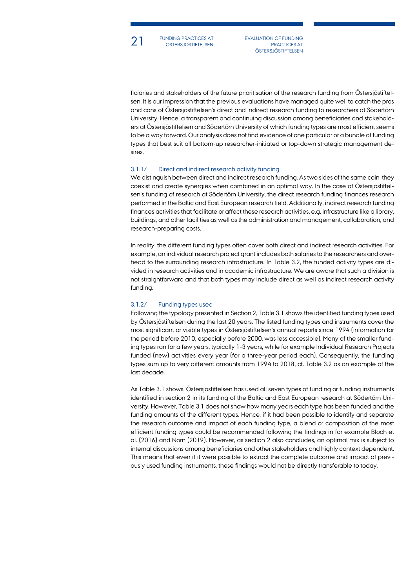21 FUNDING PRACTICES AT EVALUATION OF FUNDING FUNDING PRACTICES AT ÖSTERSJÖSTIFTELSEN

PRACTICES AT **ÖSTERSJÖSTIFTELSEN** 

ficiaries and stakeholders of the future prioritisation of the research funding from Östersjöstiftelsen. It is our impression that the previous evaluations have managed quite well to catch the pros and cons of Östersjöstiftelsen's direct and indirect research funding to researchers at Södertörn University. Hence, a transparent and continuing discussion among beneficiaries and stakeholders at Östersjöstiftelsen and Södertörn University of which funding types are most efficient seems to be a way forward. Our analysis does not find evidence of one particular or a bundle of funding types that best suit all bottom-up researcher-initiated or top-down strategic management desires.

## 3.1.1/ Direct and indirect research activity funding

We distinguish between direct and indirect research funding. As two sides of the same coin, they coexist and create synergies when combined in an optimal way. In the case of Östersjöstiftelsen's funding of research at Södertörn University, the direct research funding finances research performed in the Baltic and East European research field. Additionally, indirect research funding finances activities that facilitate or affect these research activities, e.g. infrastructure like a library, buildings, and other facilities as well as the administration and management, collaboration, and research-preparing costs.

In reality, the different funding types often cover both direct and indirect research activities. For example, an individual research project grant includes both salaries to the researchers and overhead to the surrounding research infrastructure. In Table 3.2, the funded activity types are divided in research activities and in academic infrastructure. We are aware that such a division is not straightforward and that both types may include direct as well as indirect research activity funding.

## 3.1.2/ Funding types used

Following the typology presented in Section 2, Table 3.1 shows the identified funding types used by Östersjöstiftelsen during the last 20 years. The listed funding types and instruments cover the most significant or visible types in Östersjöstiftelsen's annual reports since 1994 (information for the period before 2010, especially before 2000, was less accessible). Many of the smaller funding types ran for a few years, typically 1-3 years, while for example Individual Research Projects funded (new) activities every year (for a three-year period each). Consequently, the funding types sum up to very different amounts from 1994 to 2018, cf. Table 3.2 as an example of the last decade.

As Table 3.1 shows, Östersjöstiftelsen has used all seven types of funding or funding instruments identified in section 2 in its funding of the Baltic and East European research at Södertörn University. However, Table 3.1 does not show how many years each type has been funded and the funding amounts of the different types. Hence, if it had been possible to identify and separate the research outcome and impact of each funding type, a blend or composition of the most efficient funding types could be recommended following the findings in for example Bloch et al. (2016) and Norn (2019). However, as section 2 also concludes, an optimal mix is subject to internal discussions among beneficiaries and other stakeholders and highly context dependent. This means that even if it were possible to extract the complete outcome and impact of previously used funding instruments, these findings would not be directly transferable to today.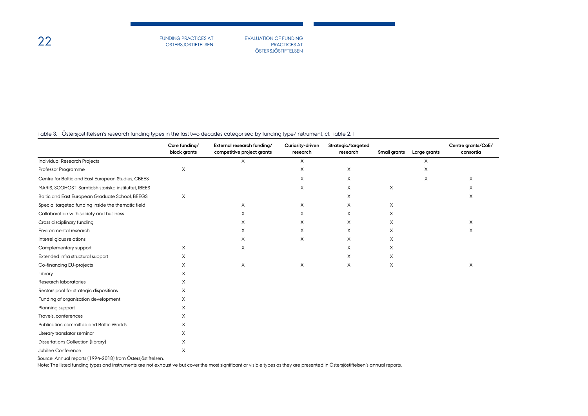PRACTICES AT **ÖSTERSJÖSTIFTELSEN** 

### Table 3.1 Östersjöstiftelsen's research funding types in the last two decades categorised by funding type/instrument, cf. Table 2.1

|                                                      | Core funding/<br>block grants | External research funding/<br>competitive project grants | Curiosity-driven<br>research | Strategic/targeted<br>research | Small grants | Large grants | Centre grants/CoE/<br>consortia |
|------------------------------------------------------|-------------------------------|----------------------------------------------------------|------------------------------|--------------------------------|--------------|--------------|---------------------------------|
| <b>Individual Research Projects</b>                  |                               | X                                                        | $\times$                     |                                |              | X            |                                 |
| Professor Programme                                  | X                             |                                                          | X                            | X                              |              | X            |                                 |
| Centre for Baltic and East European Studies, CBEES   |                               |                                                          | X                            | X                              |              | X            | $\times$                        |
| MARIS, SCOHOST, Samtidshistoriska instituttet, IBEES |                               |                                                          | X                            | X                              | X            |              | $\times$                        |
| Baltic and East European Graduate School, BEEGS      | X                             |                                                          |                              | X                              |              |              | $\times$                        |
| Special targeted funding inside the thematic field   |                               | X                                                        | X                            | X                              | X            |              |                                 |
| Collaboration with society and business              |                               | X                                                        | X                            | X                              | X            |              |                                 |
| Cross disciplinary funding                           |                               | X                                                        | X                            | X                              | X            |              | X                               |
| Environmental research                               |                               | X                                                        | $\times$                     | X                              | X            |              | $\times$                        |
| Interreligious relations                             |                               | X                                                        | X                            | X                              | X            |              |                                 |
| Complementary support                                | X                             | X                                                        |                              | $\times$                       | X            |              |                                 |
| Extended infra structural support                    | X                             |                                                          |                              | X                              | X            |              |                                 |
| Co-financing EU-projects                             | X                             | X                                                        | X                            | X                              | X            |              | X                               |
| Library                                              | X                             |                                                          |                              |                                |              |              |                                 |
| Research laboratories                                | X                             |                                                          |                              |                                |              |              |                                 |
| Rectors pool for strategic dispositions              | X                             |                                                          |                              |                                |              |              |                                 |
| Funding of organisation development                  | X                             |                                                          |                              |                                |              |              |                                 |
| Planning support                                     | X                             |                                                          |                              |                                |              |              |                                 |
| Travels, conferences                                 | X                             |                                                          |                              |                                |              |              |                                 |
| Publication committee and Baltic Worlds              | X                             |                                                          |                              |                                |              |              |                                 |
| Literary translator seminar                          | X                             |                                                          |                              |                                |              |              |                                 |
| Dissertations Collection (library)                   | X                             |                                                          |                              |                                |              |              |                                 |
| Jubilee Conference                                   | X                             |                                                          |                              |                                |              |              |                                 |

Source: Annual reports (1994-2018) from Östersjöstiftelsen.

Note: The listed funding types and instruments are not exhaustive but cover the most significant or visible types as they are presented in Östersjöstiftelsen's annual reports.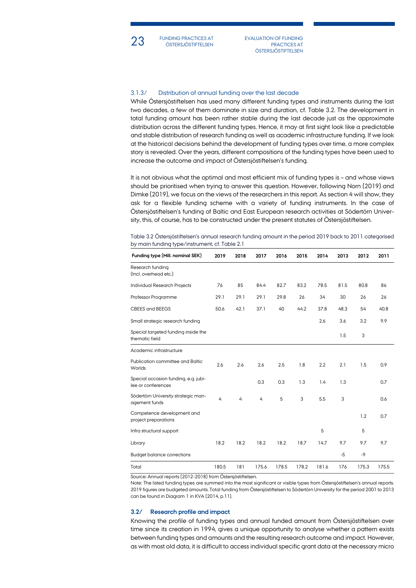23 FUNDING PRACTICES AT EVALUATION OF FUNDING FUNDING PRACTICES AT ÖSTERSJÖSTIFTELSEN

PRACTICES AT **ÖSTERSJÖSTIFTELSEN** 

## 3.1.3/ Distribution of annual funding over the last decade

While Östersjöstiftelsen has used many different funding types and instruments during the last two decades, a few of them dominate in size and duration, cf. Table 3.2. The development in total funding amount has been rather stable during the last decade just as the approximate distribution across the different funding types. Hence, it may at first sight look like a predictable and stable distribution of research funding as well as academic infrastructure funding. If we look at the historical decisions behind the development of funding types over time, a more complex story is revealed. Over the years, different compositions of the funding types have been used to increase the outcome and impact of Östersjöstiftelsen's funding.

It is not obvious what the optimal and most efficient mix of funding types is - and whose views should be prioritised when trying to answer this question. However, following Norn (2019) and Dimke (2019), we focus on the views of the researchers in this report. As section 4 will show, they ask for a flexible funding scheme with a variety of funding instruments. In the case of Östersjöstiftelsen's funding of Baltic and East European research activities at Södertörn University, this, of course, has to be constructed under the present statutes of Östersjöstiftelsen.

Table 3.2 Östersjöstiftelsen's annual research funding amount in the period 2019 back to 2011 categorised by main funding type/instrument, cf. Table 2.1

| Funding type (Mill. nominal SEK)                           | 2019  | 2018 | 2017  | 2016  | 2015  | 2014  | 2013 | 2012  | 2011  |
|------------------------------------------------------------|-------|------|-------|-------|-------|-------|------|-------|-------|
| Research funding<br>(Incl. overhead etc.)                  |       |      |       |       |       |       |      |       |       |
| Individual Research Projects                               | 76    | 85   | 84.4  | 82.7  | 83.2  | 78.5  | 81.5 | 80.8  | 86    |
| Professor Programme                                        | 29.1  | 29.1 | 29.1  | 29.8  | 26    | 34    | 30   | 26    | 26    |
| CBEES and BEEGS                                            | 50.6  | 42.1 | 37.1  | 40    | 44.2  | 37.8  | 48.3 | 54    | 40.8  |
| Small strategic research funding                           |       |      |       |       |       | 2.6   | 3.6  | 3.2   | 9.9   |
| Special targeted funding inside the<br>thematic field      |       |      |       |       |       |       | 1.5  | 3     |       |
| Academic infrastructure                                    |       |      |       |       |       |       |      |       |       |
| Publication committee and Baltic<br>Worlds                 | 2.6   | 2.6  | 2.6   | 2.5   | 1.8   | 2.2   | 2.1  | 1.5   | 0.9   |
| Special occasion funding, e.g. jubi-<br>lee or conferences |       |      | 0.3   | 0.3   | 1.3   | 1.4   | 1.3  |       | 0.7   |
| Södertörn University strategic man-<br>agement funds       | 4     | 4    | 4     | 5     | 3     | 5.5   | 3    |       | 0.6   |
| Competence development and<br>project preparations         |       |      |       |       |       |       |      | 1.2   | 0.7   |
| Infra structural support                                   |       |      |       |       |       | 5     |      | 5     |       |
| Library                                                    | 18.2  | 18.2 | 18.2  | 18.2  | 18.7  | 14.7  | 9.7  | 9.7   | 9.7   |
| <b>Budget balance corrections</b>                          |       |      |       |       |       |       | $-5$ | $-9$  |       |
| Total                                                      | 180.5 | 181  | 175.6 | 178.5 | 178.2 | 181.6 | 176  | 175.3 | 175.5 |

Source: Annual reports (2012-2018) from Östersjöstiftelsen.

Note: The listed funding types are summed into the most significant or visible types from Östersjöstiftelsen's annual reports. 2019 figures are budgeted amounts. Total funding from Östersjöstiftelsen to Södertörn University for the period 2001 to 2013 can be found in Diagram 1 in KVA (2014, p.11).

#### **3.2/ Research profile and impact**

Knowing the profile of funding types and annual funded amount from Östersjöstiftelsen over time since its creation in 1994, gives a unique opportunity to analyse whether a pattern exists between funding types and amounts and the resulting research outcome and impact. However, as with most old data, it is difficult to access individual specific grant data at the necessary micro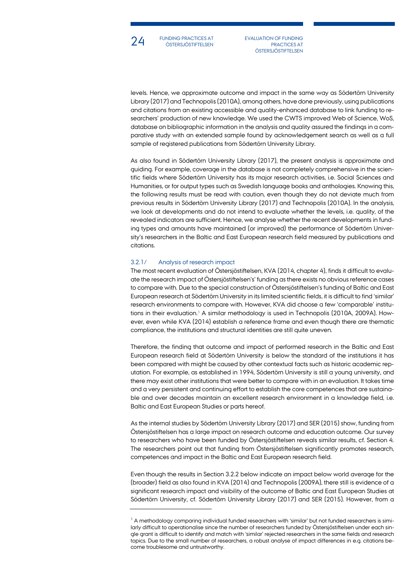

24 FUNDING PRACTICES AT EVALUATION OF FUNDING FUNDING PRACTICES AT ÖSTERSJÖSTIFTELSEN

PRACTICES AT ÖSTERSJÖSTIFTELSEN

levels. Hence, we approximate outcome and impact in the same way as Södertörn University Library (2017) and Technopolis (2010A), among others, have done previously, using publications and citations from an existing accessible and quality-enhanced database to link funding to researchers' production of new knowledge. We used the CWTS improved Web of Science, WoS, database on bibliographic information in the analysis and quality assured the findings in a comparative study with an extended sample found by acknowledgement search as well as a full sample of registered publications from Södertörn University Library.

As also found in Södertörn University Library (2017), the present analysis is approximate and guiding. For example, coverage in the database is not completely comprehensive in the scientific fields where Södertörn University has its major research activities, i.e. Social Sciences and Humanities, or for output types such as Swedish language books and anthologies. Knowing this, the following results must be read with caution, even though they do not deviate much from previous results in Södertörn University Library (2017) and Technopolis (2010A). In the analysis, we look at developments and do not intend to evaluate whether the levels, i.e. quality, of the revealed indicators are sufficient. Hence, we analyse whether the recent developments in funding types and amounts have maintained (or improved) the performance of Södertörn University's researchers in the Baltic and East European research field measured by publications and citations.

### 3.2.1/ Analysis of research impact

The most recent evaluation of Östersjöstiftelsen, KVA (2014, chapter 4), finds it difficult to evaluate the research impact of Östersjöstiftelsen's' funding as there exists no obvious reference cases to compare with. Due to the special construction of Östersjöstiftelsen's funding of Baltic and East European research at Södertörn University in its limited scientific fields, it is difficult to find 'similar' research environments to compare with. However, KVA did choose a few 'comparable' institu-tions in their evaluation.<sup>[1](#page-23-0)</sup> A similar methodology is used in Technopolis (2010A, 2009A). However, even while KVA (2014) establish a reference frame and even though there are thematic compliance, the institutions and structural identities are still quite uneven.

Therefore, the finding that outcome and impact of performed research in the Baltic and East European research field at Södertörn University is below the standard of the institutions it has been compared with might be caused by other contextual facts such as historic academic reputation. For example, as established in 1994, Södertörn University is still a young university, and there may exist other institutions that were better to compare with in an evaluation. It takes time and a very persistent and continuing effort to establish the core competences that are sustainable and over decades maintain an excellent research environment in a knowledge field, i.e. Baltic and East European Studies or parts hereof.

As the internal studies by Södertörn University Library (2017) and SER (2015) show, funding from Östersjöstiftelsen has a large impact on research outcome and education outcome. Our survey to researchers who have been funded by Östersjöstiftelsen reveals similar results, cf. Section 4. The researchers point out that funding from Östersjöstiftelsen significantly promotes research, competences and impact in the Baltic and East European research field.

Even though the results in Section 3.2.2 below indicate an impact below world average for the (broader) field as also found in KVA (2014) and Technopolis (2009A), there still is evidence of a significant research impact and visibility of the outcome of Baltic and East European Studies at Södertörn University, cf. Södertörn University Library (2017) and SER (2015). However, from a

<span id="page-23-0"></span> $<sup>1</sup>$  A methodology comparing individual funded researchers with 'similar' but not funded researchers is simi-</sup> larly difficult to operationalise since the number of researchers funded by Östersjöstiftelsen under each single grant is difficult to identify and match with 'similar' rejected researchers in the same fields and research topics. Due to the small number of researchers, a robust analyse of impact differences in e.g. citations become troublesome and untrustworthy.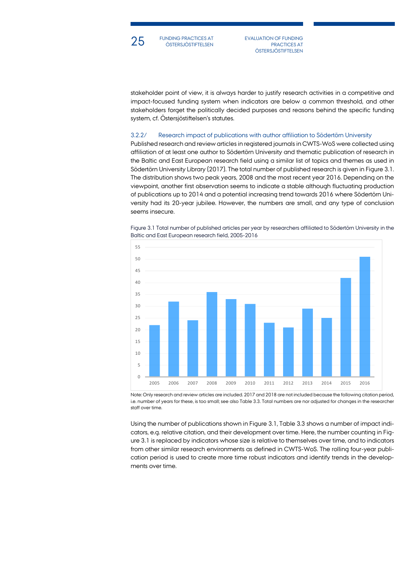

25 FUNDING PRACTICES AT EVALUATION OF FUNDING FUNDING PRACTICES AT ÖSTERSJÖSTIFTELSEN

PRACTICES AT **ÖSTERSJÖSTIFTELSEN** 

stakeholder point of view, it is always harder to justify research activities in a competitive and impact-focused funding system when indicators are below a common threshold, and other stakeholders forget the politically decided purposes and reasons behind the specific funding system, cf. Östersjöstiftelsen's statutes.

## 3.2.2/ Research impact of publications with author affiliation to Södertörn University

Published research and review articles in registered journals in CWTS-WoS were collected using affiliation of at least one author to Södertörn University and thematic publication of research in the Baltic and East European research field using a similar list of topics and themes as used in Södertörn University Library (2017). The total number of published research is given in Figure 3.1. The distribution shows two peak years, 2008 and the most recent year 2016. Depending on the viewpoint, another first observation seems to indicate a stable although fluctuating production of publications up to 2014 and a potential increasing trend towards 2016 where Södertörn University had its 20-year jubilee. However, the numbers are small, and any type of conclusion seems insecure.



Figure 3.1 Total number of published articles per year by researchers affiliated to Södertörn University in the Baltic and East European research field, 2005-2016

Note: Only research and review articles are included. 2017 and 2018 are not included because the following citation period, i.e. number of years for these, is too small; see also Table 3.3. Total numbers are nor adjusted for changes in the researcher staff over time.

Using the number of publications shown in Figure 3.1, Table 3.3 shows a number of impact indicators, e.g. relative citation, and their development over time. Here, the number counting in Figure 3.1 is replaced by indicators whose size is relative to themselves over time, and to indicators from other similar research environments as defined in CWTS-WoS. The rolling four-year publication period is used to create more time robust indicators and identify trends in the developments over time.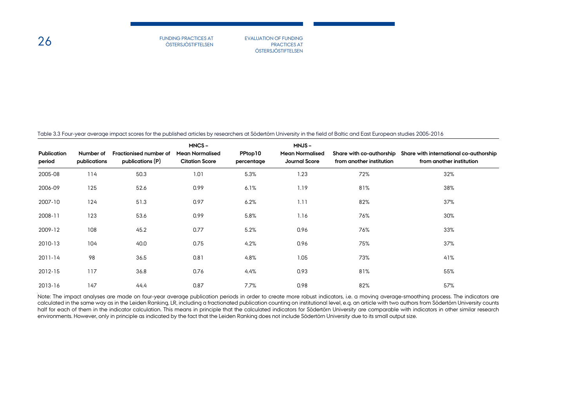PRACTICES AT **ÖSTERSJÖSTIFTELSEN** 

Table 3.3 Four-year average impact scores for the published articles by researchers at Södertörn University in the field of Baltic and East European studies 2005-2016

| <b>Publication</b><br>period | Number of<br>publications | Fractionised number of<br>publications (P) | MNCS-<br><b>Mean Normalised</b><br><b>Citation Score</b> | PPtop10<br>percentage | <b>MNJS-</b><br><b>Mean Normalised</b><br><b>Journal Score</b> | from another institution | Share with co-authorship Share with international co-authorship<br>from another institution |
|------------------------------|---------------------------|--------------------------------------------|----------------------------------------------------------|-----------------------|----------------------------------------------------------------|--------------------------|---------------------------------------------------------------------------------------------|
| 2005-08                      | 114                       | 50.3                                       | 1.01                                                     | 5.3%                  | 1.23                                                           | 72%                      | 32%                                                                                         |
| 2006-09                      | 125                       | 52.6                                       | 0.99                                                     | 6.1%                  | 1.19                                                           | 81%                      | 38%                                                                                         |
| 2007-10                      | 124                       | 51.3                                       | 0.97                                                     | 6.2%                  | 1.11                                                           | 82%                      | 37%                                                                                         |
| 2008-11                      | 123                       | 53.6                                       | 0.99                                                     | 5.8%                  | 1.16                                                           | 76%                      | 30%                                                                                         |
| 2009-12                      | 108                       | 45.2                                       | 0.77                                                     | 5.2%                  | 0.96                                                           | 76%                      | 33%                                                                                         |
| 2010-13                      | 104                       | 40.0                                       | 0.75                                                     | 4.2%                  | 0.96                                                           | 75%                      | 37%                                                                                         |
| 2011-14                      | 98                        | 36.5                                       | 0.81                                                     | 4.8%                  | 1.05                                                           | 73%                      | 41%                                                                                         |
| 2012-15                      | 117                       | 36.8                                       | 0.76                                                     | 4.4%                  | 0.93                                                           | 81%                      | 55%                                                                                         |
| 2013-16                      | 147                       | 44.4                                       | 0.87                                                     | 7.7%                  | 0.98                                                           | 82%                      | 57%                                                                                         |

Note: The impact analyses are made on four-year average publication periods in order to create more robust indicators, i.e. a moving average-smoothing process. The indicators are calculated in the same way as in the Leiden Ranking, LR, including a fractionated publication counting on institutional level, e.g. an article with two authors from Södertörn University counts half for each of them in the indicator calculation. This means in principle that the calculated indicators for Södertörn University are comparable with indicators in other similar research environments. However, only in principle as indicated by the fact that the Leiden Ranking does not include Södertörn University due to its small output size.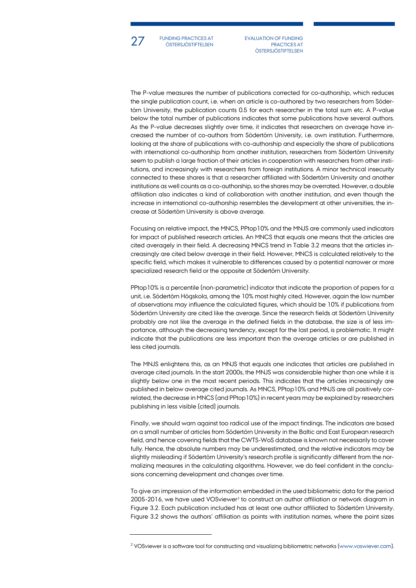

27 FUNDING PRACTICES AT EVALUATION OF FUNDING FUNDING PRACTICES AT ÖSTERSJÖSTIFTELSEN

PRACTICES AT **ÖSTERSJÖSTIFTELSEN** 

The P-value measures the number of publications corrected for co-authorship, which reduces the single publication count, i.e. when an article is co-authored by two researchers from Södertörn University, the publication counts 0.5 for each researcher in the total sum etc. A P-value below the total number of publications indicates that some publications have several authors. As the P-value decreases slightly over time, it indicates that researchers on average have increased the number of co-authors from Södertörn University, i.e. own institution. Furthermore, looking at the share of publications with co-authorship and especially the share of publications with international co-authorship from another institution, researchers from Södertörn University seem to publish a large fraction of their articles in cooperation with researchers from other institutions, and increasingly with researchers from foreign institutions. A minor technical insecurity connected to these shares is that a researcher affiliated with Södertörn University and another institutions as well counts as a co-authorship, so the shares may be overrated. However, a double affiliation also indicates a kind of collaboration with another institution, and even though the increase in international co-authorship resembles the development at other universities, the increase at Södertörn University is above average.

Focusing on relative impact, the MNCS, PPtop10% and the MNJS are commonly used indicators for impact of published research articles. An MNCS that equals one means that the articles are cited averagely in their field. A decreasing MNCS trend in Table 3.2 means that the articles increasingly are cited below average in their field. However, MNCS is calculated relatively to the specific field, which makes it vulnerable to differences caused by a potential narrower or more specialized research field or the opposite at Södertörn University.

PPtop10% is a percentile (non-parametric) indicator that indicate the proportion of papers for a unit, i.e. Södertörn Högskola, among the 10% most highly cited. However, again the low number of observations may influence the calculated figures, which should be 10% if publications from Södertörn University are cited like the average. Since the research fields at Södertörn University probably are not like the average in the defined fields in the database, the size is of less importance, although the decreasing tendency, except for the last period, is problematic. It might indicate that the publications are less important than the average articles or are published in less cited journals.

The MNJS enlightens this, as an MNJS that equals one indicates that articles are published in average cited journals. In the start 2000s, the MNJS was considerable higher than one while it is slightly below one in the most recent periods. This indicates that the articles increasingly are published in below average cited journals. As MNCS, PPtop10% and MNJS are all positively correlated, the decrease in MNCS (and PPtop10%) in recent years may be explained by researchers publishing in less visible (cited) journals.

Finally, we should warn against too radical use of the impact findings. The indicators are based on a small number of articles from Södertörn University in the Baltic and East European research field, and hence covering fields that the CWTS-WoS database is known not necessarily to cover fully. Hence, the absolute numbers may be underestimated, and the relative indicators may be slightly misleading if Södertörn University's research profile is significantly different from the normalizing measures in the calculating algorithms. However, we do feel confident in the conclusions concerning development and changes over time.

To give an impression of the information embedded in the used bibliometric data for the period [2](#page-26-0)005-2016, we have used VOSviewer<sup>2</sup> to construct an author affiliation or network diagram in Figure 3.2. Each publication included has at least one author affiliated to Södertörn University. Figure 3.2 shows the authors' affiliation as points with institution names, where the point sizes

<span id="page-26-0"></span><sup>&</sup>lt;sup>2</sup> VOSviewer is a software tool for constructing and visualizing bibliometric networks [\(www.voswiever.com\)](http://www.voswiever.com/).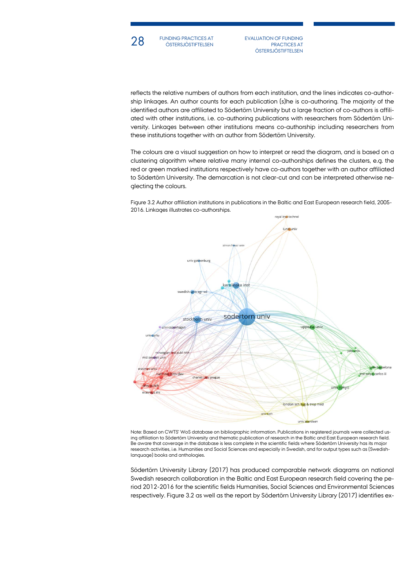

**28** FUNDING PRACTICES AT EVALUATION OF FUNDING THE STERSJÖSTIFTELSEN FUNDING PRACTICES AT

PRACTICES AT **ÖSTERSJÖSTIFTELSEN** 

reflects the relative numbers of authors from each institution, and the lines indicates co-authorship linkages. An author counts for each publication (s)he is co-authoring. The majority of the identified authors are affiliated to Södertörn University but a large fraction of co-authors is affiliated with other institutions, i.e. co-authoring publications with researchers from Södertörn University. Linkages between other institutions means co-authorship including researchers from these institutions together with an author from Södertörn University.

The colours are a visual suggestion on how to interpret or read the diagram, and is based on a clustering algorithm where relative many internal co-authorships defines the clusters, e.g. the red or green marked institutions respectively have co-authors together with an author affiliated to Södertörn University. The demarcation is not clear-cut and can be interpreted otherwise neglecting the colours.

Figure 3.2 Author affiliation institutions in publications in the Baltic and East European research field, 2005- 2016. Linkages illustrates co-authorships.



Note: Based on CWTS' WoS database on bibliographic information. Publications in registered journals were collected using affiliation to Södertörn University and thematic publication of research in the Baltic and East European research field. Be aware that coverage in the database is less complete in the scientific fields where Södertörn University has its major research activities, i.e. Humanities and Social Sciences and especially in Swedish, and for output types such as (Swedishlanguage) books and anthologies.

Södertörn University Library (2017) has produced comparable network diagrams on national Swedish research collaboration in the Baltic and East European research field covering the period 2012-2016 for the scientific fields Humanities, Social Sciences and Environmental Sciences respectively. Figure 3.2 as well as the report by Södertörn University Library (2017) identifies ex-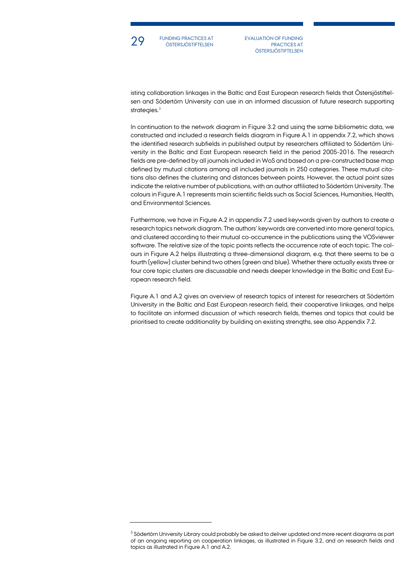

FUNDING PRACTICES AT

29 FUNDING PRACTICES AT EVALUATION OF FUNDING<br>EVALUATION OF FUNDING PRACTICES AT PRACTICES AT **ÖSTERSJÖSTIFTELSEN** 

isting collaboration linkages in the Baltic and East European research fields that Östersjöstiftelsen and Södertörn University can use in an informed discussion of future research supporting strategies.<sup>[3](#page-28-0)</sup>

In continuation to the network diagram in Figure 3.2 and using the same bibliometric data, we constructed and included a research fields diagram in Figure A.1 in appendix 7.2, which shows the identified research subfields in published output by researchers affiliated to Södertörn University in the Baltic and East European research field in the period 2005-2016. The research fields are pre-defined by all journals included in WoS and based on a pre-constructed base map defined by mutual citations among all included journals in 250 categories. These mutual citations also defines the clustering and distances between points. However, the actual point sizes indicate the relative number of publications, with an author affiliated to Södertörn University. The colours in Figure A.1 represents main scientific fields such as Social Sciences, Humanities, Health, and Environmental Sciences.

Furthermore, we have in Figure A.2 in appendix 7.2 used keywords given by authors to create a research topics network diagram. The authors' keywords are converted into more general topics, and clustered according to their mutual co-occurrence in the publications using the VOSviewer software. The relative size of the topic points reflects the occurrence rate of each topic. The colours in Figure A.2 helps illustrating a three-dimensional diagram, e.g. that there seems to be a fourth (yellow) cluster behind two others (green and blue). Whether there actually exists three or four core topic clusters are discussable and needs deeper knowledge in the Baltic and East European research field.

Figure A.1 and A.2 gives an overview of research topics of interest for researchers at Södertörn University in the Baltic and East European research field, their cooperative linkages, and helps to facilitate an informed discussion of which research fields, themes and topics that could be prioritised to create additionality by building on existing strengths, see also Appendix 7.2.

<span id="page-28-0"></span> $3$  Södertörn University Library could probably be asked to deliver updated and more recent diagrams as part of an ongoing reporting on cooperation linkages, as illustrated in Figure 3.2, and on research fields and topics as illustrated in Figure A.1 and A.2.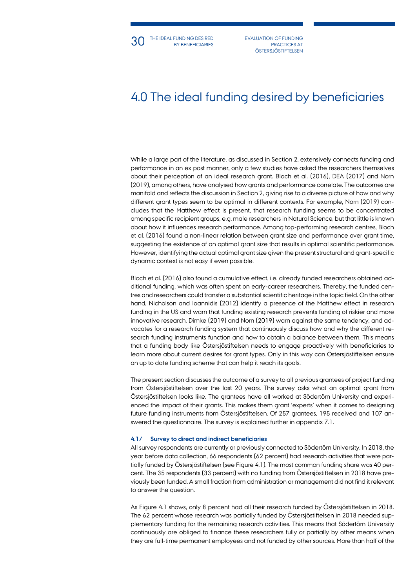PRACTICES AT **ÖSTERSJÖSTIFTELSEN** 

# 4.0 The ideal funding desired by beneficiaries

While a large part of the literature, as discussed in Section 2, extensively connects funding and performance in an ex post manner, only a few studies have asked the researchers themselves about their perception of an ideal research grant. Bloch et al. (2016), DEA (2017) and Norn (2019), among others, have analysed how grants and performance correlate. The outcomes are manifold and reflects the discussion in Section 2, giving rise to a diverse picture of how and why different grant types seem to be optimal in different contexts. For example, Norn (2019) concludes that the Matthew effect is present, that research funding seems to be concentrated among specific recipient groups, e.g. male researchers in Natural Science, but that little is known about how it influences research performance. Among top-performing research centres, Bloch et al. (2016) found a non-linear relation between grant size and performance over grant time, suggesting the existence of an optimal grant size that results in optimal scientific performance. However, identifying the actual optimal grant size given the present structural and grant-specific dynamic context is not easy if even possible.

Bloch et al. (2016) also found a cumulative effect, i.e. already funded researchers obtained additional funding, which was often spent on early-career researchers. Thereby, the funded centres and researchers could transfer a substantial scientific heritage in the topic field. On the other hand, Nicholson and Ioannidis (2012) identify a presence of the Matthew effect in research funding in the US and warn that funding existing research prevents funding of riskier and more innovative research. Dimke (2019) and Norn (2019) warn against the same tendency, and advocates for a research funding system that continuously discuss how and why the different research funding instruments function and how to obtain a balance between them. This means that a funding body like Östersjöstiftelsen needs to engage proactively with beneficiaries to learn more about current desires for grant types. Only in this way can Östersjöstiftelsen ensure an up to date funding scheme that can help it reach its goals.

The present section discusses the outcome of a survey to all previous grantees of project funding from Östersjöstiftelsen over the last 20 years. The survey asks what an optimal grant from Östersjöstiftelsen looks like. The grantees have all worked at Södertörn University and experienced the impact of their grants. This makes them grant 'experts' when it comes to designing future funding instruments from Östersjöstiftelsen. Of 257 grantees, 195 received and 107 answered the questionnaire. The survey is explained further in appendix 7.1.

#### **4.1/ Survey to direct and indirect beneficiaries**

All survey respondents are currently or previously connected to Södertörn University. In 2018, the year before data collection, 66 respondents (62 percent) had research activities that were partially funded by Östersjöstiftelsen (see Figure 4.1). The most common funding share was 40 percent. The 35 respondents (33 percent) with no funding from Östersjöstiftelsen in 2018 have previously been funded. A small fraction from administration or management did not find it relevant to answer the question.

As Figure 4.1 shows, only 8 percent had all their research funded by Östersjöstiftelsen in 2018. The 62 percent whose research was partially funded by Östersjöstiftelsen in 2018 needed supplementary funding for the remaining research activities. This means that Södertörn University continuously are obliged to finance these researchers fully or partially by other means when they are full-time permanent employees and not funded by other sources. More than half of the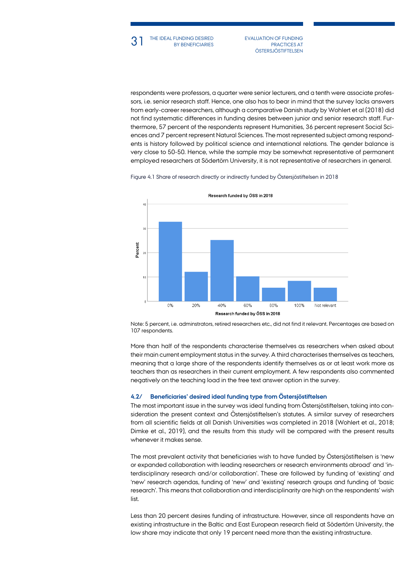PRACTICES AT **ÖSTERSJÖSTIFTELSEN** 

respondents were professors, a quarter were senior lecturers, and a tenth were associate professors, i.e. senior research staff. Hence, one also has to bear in mind that the survey lacks answers from early-career researchers, although a comparative Danish study by Wohlert et al (2018) did not find systematic differences in funding desires between junior and senior research staff. Furthermore, 57 percent of the respondents represent Humanities, 36 percent represent Social Sciences and 7 percent represent Natural Sciences. The most represented subject among respondents is history followed by political science and international relations. The gender balance is very close to 50-50. Hence, while the sample may be somewhat representative of permanent employed researchers at Södertörn University, it is not representative of researchers in general.





Note: 5 percent, i.e. adminstrators, retired researchers etc., did not find it relevant. Percentages are based on 107 respondents.

More than half of the respondents characterise themselves as researchers when asked about their main current employment status in the survey. A third characterises themselves as teachers, meaning that a large share of the respondents identify themselves as or at least work more as teachers than as researchers in their current employment. A few respondents also commented negatively on the teaching load in the free text answer option in the survey.

## **4.2/ Beneficiaries' desired ideal funding type from Östersjöstiftelsen**

The most important issue in the survey was ideal funding from Östersjöstiftelsen, taking into consideration the present context and Östersjöstiftelsen's statutes. A similar survey of researchers from all scientific fields at all Danish Universities was completed in 2018 (Wohlert et al., 2018; Dimke et al., 2019), and the results from this study will be compared with the present results whenever it makes sense.

The most prevalent activity that beneficiaries wish to have funded by Östersjöstiftelsen is 'new or expanded collaboration with leading researchers or research environments abroad' and 'interdisciplinary research and/or collaboration'. These are followed by funding of 'existing' and 'new' research agendas, funding of 'new' and 'existing' research groups and funding of 'basic research'. This means that collaboration and interdisciplinarity are high on the respondents' wish list.

Less than 20 percent desires funding of infrastructure. However, since all respondents have an existing infrastructure in the Baltic and East European research field at Södertörn University, the low share may indicate that only 19 percent need more than the existing infrastructure.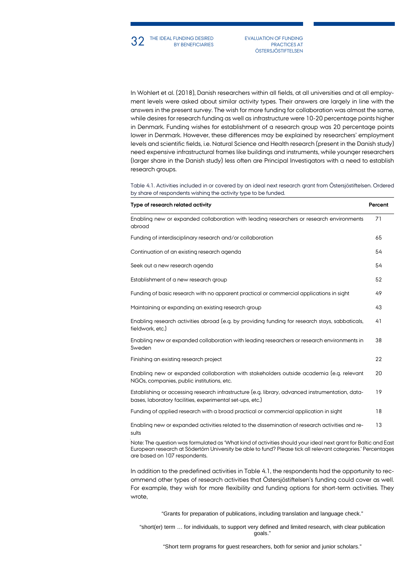In Wohlert et al. (2018), Danish researchers within all fields, at all universities and at all employment levels were asked about similar activity types. Their answers are largely in line with the answers in the present survey. The wish for more funding for collaboration was almost the same, while desires for research funding as well as infrastructure were 10-20 percentage points higher in Denmark. Funding wishes for establishment of a research group was 20 percentage points lower in Denmark. However, these differences may be explained by researchers' employment levels and scientific fields, i.e. Natural Science and Health research (present in the Danish study) need expensive infrastructural frames like buildings and instruments, while younger researchers (larger share in the Danish study) less often are Principal Investigators with a need to establish research groups.

Table 4.1. Activities included in or covered by an ideal next research grant from Östersjöstiftelsen. Ordered by share of respondents wishing the activity type to be funded.

| Type of research related activity                                                                                                                                                                                                                               | Percent |
|-----------------------------------------------------------------------------------------------------------------------------------------------------------------------------------------------------------------------------------------------------------------|---------|
| Enabling new or expanded collaboration with leading researchers or research environments<br>abroad                                                                                                                                                              | 71      |
| Funding of interdisciplinary research and/or collaboration                                                                                                                                                                                                      | 65      |
| Continuation of an existing research agenda                                                                                                                                                                                                                     | 54      |
| Seek out a new research agenda                                                                                                                                                                                                                                  | 54      |
| Establishment of a new research group                                                                                                                                                                                                                           | 52      |
| Funding of basic research with no apparent practical or commercial applications in sight                                                                                                                                                                        | 49      |
| Maintaining or expanding an existing research group                                                                                                                                                                                                             | 43      |
| Enabling research activities abroad (e.g. by providing funding for research stays, sabbaticals,<br>fieldwork, etc.)                                                                                                                                             | 41      |
| Enabling new or expanded collaboration with leading researchers or research environments in<br>Sweden                                                                                                                                                           | 38      |
| Finishing an existing research project                                                                                                                                                                                                                          | 22      |
| Enabling new or expanded collaboration with stakeholders outside academia (e.g. relevant<br>NGOs, companies, public institutions, etc.                                                                                                                          | 20      |
| Establishing or accessing research infrastructure (e.g. library, advanced instrumentation, data-<br>bases, laboratory facilities, experimental set-ups, etc.)                                                                                                   | 19      |
| Funding of applied research with a broad practical or commercial application in sight                                                                                                                                                                           | 18      |
| Enabling new or expanded activities related to the dissemination of research activities and re-<br>sults                                                                                                                                                        | 13      |
| Note: The question was formulated as 'What kind of activities should your ideal next grant for Baltic and East<br>European research at Södertörn University be able to fund? Please tick all relevant categories.' Percentages<br>are based on 107 respondents. |         |

In addition to the predefined activities in Table 4.1, the respondents had the opportunity to recommend other types of research activities that Östersjöstiftelsen's funding could cover as well. For example, they wish for more flexibility and funding options for short-term activities. They wrote,

"Grants for preparation of publications, including translation and language check."

"short(er) term … for individuals, to support very defined and limited research, with clear publication goals."

"Short term programs for guest researchers, both for senior and junior scholars."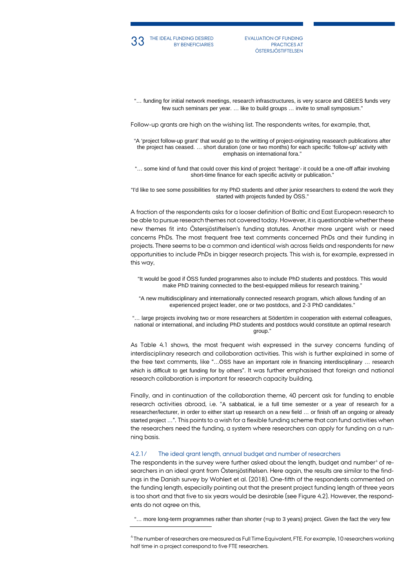

BY BENEFICIARIES

33 THE IDEAL FUNDING DESIRED EVALUATION OF FUNDING BY BENEFICIARIES PRACTICES AT PRACTICES AT **ÖSTERSJÖSTIFTELSEN** 

"… funding for initial network meetings, research infrasctructures, is very scarce and GBEES funds very few such seminars per year. … like to build groups … invite to small symposium."

Follow-up grants are high on the wishing list. The respondents writes, for example, that,

"A 'project follow-up grant' that would go to the writting of project-originating reasearch publications after the project has ceased. … short duration (one or two months) for each specific 'follow-up' activity with emphasis on international fora."

"… some kind of fund that could cover this kind of project 'heritage'- it could be a one-off affair involving short-time finance for each specific activity or publication."

"I'd like to see some possibilities for my PhD students and other junior researchers to extend the work they started with projects funded by ÖSS."

A fraction of the respondents asks for a looser definition of Baltic and East European research to be able to pursue research themes not covered today. However, it is questionable whether these new themes fit into Östersjöstiftelsen's funding statutes. Another more urgent wish or need concerns PhDs. The most frequent free text comments concerned PhDs and their funding in projects. There seems to be a common and identical wish across fields and respondents for new opportunities to include PhDs in bigger research projects. This wish is, for example, expressed in this way,

"It would be good if ÖSS funded programmes also to include PhD students and postdocs. This would make PhD training connected to the best-equipped milieus for research training.

"A new multidisciplinary and internationally connected research program, which allows funding of an experienced project leader, one or two postdocs, and 2-3 PhD candidates."

"… large projects involving two or more researchers at Södertörn in cooperation with external colleagues, national or international, and including PhD students and postdocs would constitute an optimal research group."

As Table 4.1 shows, the most frequent wish expressed in the survey concerns funding of interdisciplinary research and collaboration activities. This wish is further explained in some of the free text comments, like "…ÖSS have an important role in financing interdisciplinary … research which is difficult to get funding for by others". It was further emphasised that foreign and national research collaboration is important for research capacity building.

Finally, and in continuation of the collaboration theme, 40 percent ask for funding to enable research activities abroad, i.e. "A sabbatical, ie a full time semester or a year of research for a researcher/lecturer, in order to either start up research on a new field … or finish off an ongoing or already started project …". This points to a wish for a flexible funding scheme that can fund activities when the researchers need the funding, a system where researchers can apply for funding on a running basis.

#### 4.2.1/ The ideal grant length, annual budget and number of researchers

The respondents in the survey were further asked about the length, budget and number<sup>[4](#page-32-0)</sup> of researchers in an ideal grant from Östersjöstiftelsen. Here again, the results are similar to the findings in the Danish survey by Wohlert et al. (2018). One-fifth of the respondents commented on the funding length, especially pointing out that the present project funding length of three years is too short and that five to six years would be desirable (see Figure 4.2). However, the respondents do not agree on this,

"... more long-term programmes rather than shorter (=up to 3 years) project. Given the fact the very few

<span id="page-32-0"></span><sup>4</sup> The number of researchers are measured as Full Time Equivalent, FTE. For example, 10 researchers working half time in a project correspond to five FTE researchers.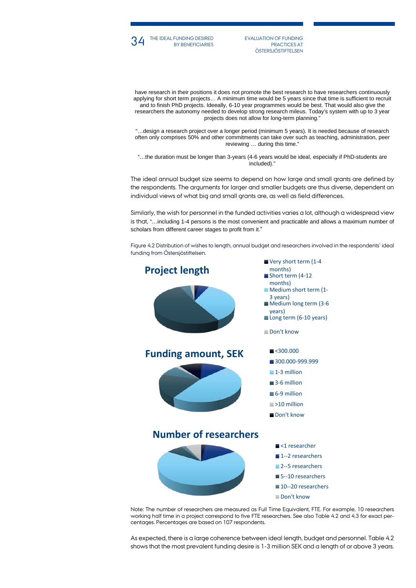

BY BENEFICIARIES

34 THE IDEAL FUNDING DESIRED EVALUATION OF FUNDING BY BENEFICIARIES PRACTICES AT PRACTICES AT **ÖSTERSJÖSTIFTELSEN** 

have research in their positions it does not promote the best research to have researchers continuously applying for short term projects… A minimum time would be 5 years since that time is sufficient to recruit and to finish PhD projects. Ideeally, 6-10 year programmes would be best. That would also give the researchers the autonomy needed to develop strong research mileus. Today's system with up to 3 year projects does not allow for long-term planning."

"…design a research project over a longer period (minimum 5 years). It is needed because of research often only comprises 50% and other commitments can take over such as teaching, administration, peer reviewing … during this time."

"…the duration must be longer than 3-years (4-6 years would be ideal, especially if PhD-students are included)."

The ideal annual budget size seems to depend on how large and small grants are defined by the respondents. The arguments for larger and smaller budgets are thus diverse, dependent on individual views of what big and small grants are, as well as field differences.

Similarly, the wish for personnel in the funded activities varies a lot, although a widespread view is that, "…including 1-4 persons is the most convenient and practicable and allows a maximum number of scholars from different career stages to profit from it."

Figure 4.2 Distribution of wishes to length, annual budget and researchers involved in the respondents' ideal funding from Östersjöstiftelsen.



Note: The number of researchers are measured as Full Time Equivalent, FTE. For example, 10 researchers working half time in a project correspond to five FTE researchers. See also Table 4.2 and 4.3 for exact percentages. Percentages are based on 107 respondents.

As expected, there is a large coherence between ideal length, budget and personnel. Table 4.2 shows that the most prevalent funding desire is 1-3 million SEK and a length of or above 3 years.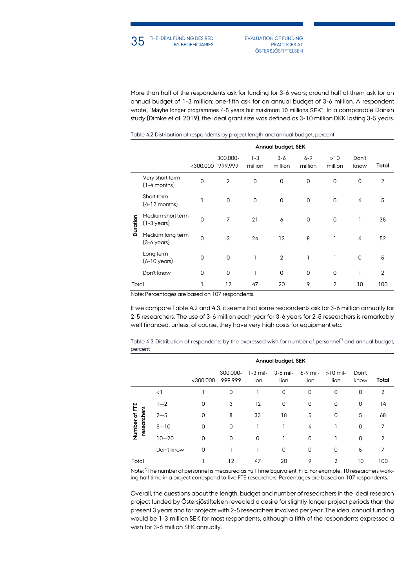PRACTICES AT **ÖSTERSJÖSTIFTELSEN** 

More than half of the respondents ask for funding for 3-6 years; around half of them ask for an annual budget of 1-3 million; one-fifth ask for an annual budget of 3-6 million. A respondent wrote, "Maybe longer programmes 4-5 years but maximum 10 millions SEK". In a comparable Danish study (Dimke et al, 2019), the ideal grant size was defined as 3-10 million DKK lasting 3-5 years.

|          |                                            |                |                     |                    | Annual budget, SEK |                    |                |               |                |
|----------|--------------------------------------------|----------------|---------------------|--------------------|--------------------|--------------------|----------------|---------------|----------------|
|          |                                            | $<$ 300.000    | 300.000-<br>999.999 | $1 - 3$<br>million | $3 - 6$<br>million | $6 - 9$<br>million | >10<br>million | Don't<br>know | Total          |
|          | Very short term<br>$(1-4$ months)          | $\overline{0}$ | $\overline{2}$      | 0                  | $\mathbf 0$        | $\mathbf 0$        | $\mathbf 0$    | $\mathbf 0$   | $\overline{2}$ |
| Duration | Short term<br>$(4-12$ months)              |                | $\mathbf 0$         | 0                  | $\mathbf 0$        | 0                  | $\mathbf{0}$   | 4             | 5              |
|          | Medium short term<br>$(1-3 \text{ years})$ | $\overline{0}$ | $\overline{7}$      | 21                 | 6                  | $\mathbf 0$        | $\mathbf{0}$   | ı             | 35             |
|          | Medium long term<br>$(3-6 \text{ years})$  | $\overline{0}$ | 3                   | 24                 | 13                 | 8                  | ı              | 4             | 52             |
|          | Long term<br>$(6-10 \text{ years})$        | 0              | $\mathbf 0$         | $\mathbf{1}$       | $\overline{2}$     | 1                  | 1              | $\Omega$      | 5              |
|          | Don't know                                 | 0              | $\mathbf 0$         | 1                  | $\mathbf 0$        | $\mathbf 0$        | $\overline{0}$ | ı             | $\overline{2}$ |
| Total    |                                            | 1              | 12                  | 47                 | 20                 | 9                  | $\overline{2}$ | 10            | 100            |

#### Table 4.2 Distribution of respondents by project length and annual budget, percent

Note: Percentages are based on 107 respondents.

If we compare Table 4.2 and 4.3, it seems that some respondents ask for 3-6 million annually for 2-5 researchers. The use of 3-6 million each year for 3-6 years for 2-5 researchers is remarkably well financed, unless, of course, they have very high costs for equipment etc.

Table 4.3 Distribution of respondents by the expressed wish for number of personnel<sup>\*)</sup> and annual budget, percent

|                              |            |             | Annual budget, SEK  |                    |                    |                    |                    |               |                |
|------------------------------|------------|-------------|---------------------|--------------------|--------------------|--------------------|--------------------|---------------|----------------|
|                              |            | $<$ 300.000 | 300.000-<br>999.999 | $1-3$ mil-<br>lion | $3-6$ mil-<br>lion | $6-9$ mil-<br>lion | $>10$ mil-<br>lion | Don't<br>know | Total          |
| Number of FTE<br>researchers | $\leq$ ]   |             | $\mathbf 0$         |                    | $\mathbf 0$        | $\overline{0}$     | $\mathbf 0$        | 0             | $\overline{2}$ |
|                              | $1 - 2$    | 0           | 3                   | 12                 | 0                  | 0                  | 0                  | 0             | 14             |
|                              | $2 - 5$    | $\Omega$    | 8                   | 33                 | 18                 | 5                  | $\mathbf 0$        | 5             | 68             |
|                              | $5 - 10$   | 0           | $\mathbf 0$         | 1                  |                    | 4                  |                    | $\Omega$      | 7              |
|                              | $10 - 20$  | $\Omega$    | $\Omega$            | 0                  |                    | $\Omega$           |                    | $\Omega$      | 2              |
|                              | Don't know | 0           |                     |                    | 0                  | 0                  | 0                  | 5             | 7              |
| Total                        |            |             | 12                  | 47                 | 20                 | 9                  | 2                  | 10            | 100            |

Note: \*)The number of personnel is measured as Full Time Equivalent, FTE. For example, 10 researchers working half time in a project correspond to five FTE researchers. Percentages are based on 107 respondents.

Overall, the questions about the length, budget and number of researchers in the ideal research project funded by Östersjöstiftelsen revealed a desire for slightly longer project periods than the present 3 years and for projects with 2-5 researchers involved per year. The ideal annual funding would be 1-3 million SEK for most respondents, although a fifth of the respondents expressed a wish for 3-6 million SEK annually.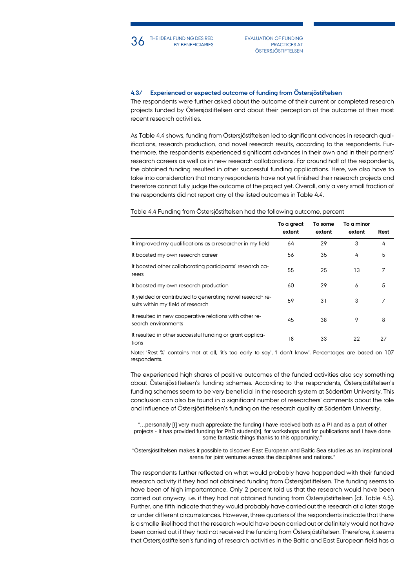

PRACTICES AT **ÖSTERSJÖSTIFTELSEN** 

## **4.3/ Experienced or expected outcome of funding from Östersjöstiftelsen**

The respondents were further asked about the outcome of their current or completed research projects funded by Östersjöstiftelsen and about their perception of the outcome of their most recent research activities.

As Table 4.4 shows, funding from Östersjöstiftelsen led to significant advances in research qualifications, research production, and novel research results, according to the respondents. Furthermore, the respondents experienced significant advances in their own and in their partners' research careers as well as in new research collaborations. For around half of the respondents, the obtained funding resulted in other successful funding applications. Here, we also have to take into consideration that many respondents have not yet finished their research projects and therefore cannot fully judge the outcome of the project yet. Overall, only a very small fraction of the respondents did not report any of the listed outcomes in Table 4.4.

#### Table 4.4 Funding from Östersjöstiftelsen had the following outcome, percent

|                                                                                                 | To a great<br>extent | To some<br>extent | To a minor<br>extent | Rest |
|-------------------------------------------------------------------------------------------------|----------------------|-------------------|----------------------|------|
| It improved my qualifications as a researcher in my field                                       | 64                   | 29                | 3                    | 4    |
| It boosted my own research career                                                               | 56                   | 35                | 4                    | 5    |
| It boosted other collaborating participants' research ca-<br>reers                              | 55                   | 25                | 13                   | 7    |
| It boosted my own research production                                                           | 60                   | 29                | 6                    | 5    |
| It yielded or contributed to generating novel research re-<br>sults within my field of research | 59                   | 31                | 3                    | 7    |
| It resulted in new cooperative relations with other re-<br>search environments                  | 45                   | 38                | 9                    | 8    |
| It resulted in other successful funding or grant applica-<br>tions                              | 18                   | 33                | 22                   | 27   |

Note: 'Rest %' contains 'not at all, 'it's too early to say', 'I don't know'. Percentages are based on 107 respondents.

The experienced high shares of positive outcomes of the funded activities also say something about Östersjöstiftelsen's funding schemes. According to the respondents, Östersjöstiftelsen's funding schemes seem to be very beneficial in the research system at Södertörn University. This conclusion can also be found in a significant number of researchers' comments about the role and influence of Östersjöstiftelsen's funding on the research quality at Södertörn University,

"…personally [I] very much appreciate the funding I have received both as a PI and as a part of other projects - It has provided funding for PhD student[s], for workshops and for publications and I have done some fantastic things thanks to this opportunity.'

"Östersjöstiftelsen makes it possible to discover East European and Baltic Sea studies as an inspirational arena for joint ventures across the disciplines and nations."

The respondents further reflected on what would probably have happended with their funded research activity if they had not obtained funding from Östersjöstiftelsen. The funding seems to have been of high importantance. Only 2 percent told us that the research would have been carried out anyway, i.e. if they had not obtained funding from Östersjöstiftelsen (cf. Table 4.5). Further, one fifth indicate that they would probably have carried out the research at a later stage or under different circumstances. However, three quarters of the respondents indicate that there is a smalle likelihood that the research would have been carried out or definitely would not have been carried out if they had not received the funding from Östersjöstiftelsen. Therefore, it seems that Östersjöstiftelsen's funding of research activities in the Baltic and East European field has a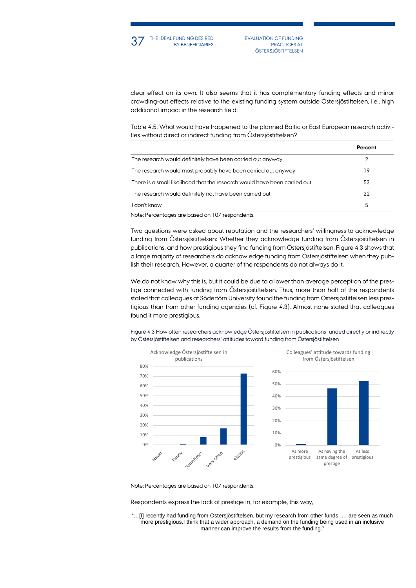

**37** THE IDEAL FUNDING DESIRED EVALUATION OF FUNDING BY BENEFICIARIES PRACTICES AT PRACTICES AT **ÖSTERSJÖSTIFTELSEN** 

clear effect on its own. It also seems that it has complementary funding effects and minor crowding-out effects relative to the existing funding system outside Östersjöstiftelsen, i.e., high additional impact in the research field.

Table 4.5. What would have happened to the planned Baltic or East European research activities without direct or indirect funding from Östersjöstiftelsen?

|                                                                           | Percent |
|---------------------------------------------------------------------------|---------|
| The research would definitely have been carried out anyway                |         |
| The research would most probably have been carried out anyway             | 19      |
| There is a small likelihood that the research would have been carried out | 53      |
| The research would definitely not have been carried out                   | 22      |
| I don't know                                                              | 5       |
| Note: Percentages are based on 107 respondents.                           |         |

Two questions were asked about reputation and the researchers' willingness to acknowledge funding from Östersjöstiftelsen: Whether they acknowledge funding from Östersjöstiftelsen in publications, and how prestigious they find funding from Östersjöstiftelsen. Figure 4.3 shows that a large majority of researchers do acknowledge funding from Östersjöstiftelsen when they publish their research. However, a quarter of the respondents do not always do it.

We do not know why this is, but it could be due to a lower than average perception of the prestige connected with funding from Östersjöstiftelsen. Thus, more than half of the respondents stated that colleagues at Södertörn University found the funding from Östersjöstiftelsen less prestigious than from other funding agencies (cf. Figure 4.3). Almost none stated that colleagues found it more prestigious.

Figure 4.3 How often researchers acknowledge Östersjöstiftelsen in publications funded directly or indirectly by Östersjöstiftelsen and researchers' attitudes toward funding from Östersjöstiftelsen



Note: Percentages are based on 107 respondents.

Respondents express the lack of prestige in, for example, this way,

"…[I] recently had funding from Östersjöstiftelsen, but my research from other funds, … are seen as much more prestigious.I think that a wider approach, a demand on the funding being used in an inclusive manner can improve the results from the funding."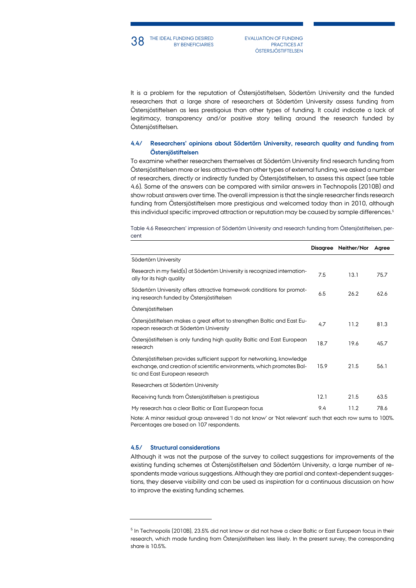PRACTICES AT **ÖSTERSJÖSTIFTELSEN** 

It is a problem for the reputation of Östersjöstiftelsen, Södertörn University and the funded researchers that a large share of researchers at Södertörn University assess funding from Östersjöstiftelsen as less prestigoius than other types of funding. It could indicate a lack of legitimacy, transparency and/or positive story telling around the research funded by Östersjöstiftelsen.

## **4.4/ Researchers' opinions about Södertörn University, research quality and funding from Östersjöstiftelsen**

To examine whether researchers themselves at Södertörn University find research funding from Östersjöstiftelsen more or less attractive than other types of external funding, we asked a number of researchers, directly or indirectly funded by Östersjöstiftelsen, to assess this aspect (see table 4.6). Some of the answers can be compared with similar answers in Technopolis (2010B) and show robust answers over time. The overall impression is that the single researcher finds research funding from Östersjöstiftelsen more prestigious and welcomed today than in 2010, although this individual specific improved attraction or reputation may be caused by sample differences.<sup>5</sup>

Table 4.6 Researchers' impression of Södertörn University and research funding from Östersjöstiftelsen, percent

|                                                                                                                                                                                      | Disagree | Neither/Nor | Agree |
|--------------------------------------------------------------------------------------------------------------------------------------------------------------------------------------|----------|-------------|-------|
| Södertörn University                                                                                                                                                                 |          |             |       |
| Research in my field(s) at Södertörn University is recognized internation-<br>ally for its high quality                                                                              | 7.5      | 13.1        | 75.7  |
| Södertörn University offers attractive framework conditions for promot-<br>ing research funded by Östersjöstiftelsen                                                                 | 6.5      | 26.2        | 62.6  |
| Ostersjöstiftelsen                                                                                                                                                                   |          |             |       |
| Ostersjöstiftelsen makes a great effort to strengthen Baltic and East Eu-<br>ropean research at Södertörn University                                                                 | 4.7      | 11.2        | 81.3  |
| Ostersjöstiftelsen is only funding high quality Baltic and East European<br>research                                                                                                 | 18.7     | 19.6        | 45.7  |
| Ostersjöstiftelsen provides sufficient support for networking, knowledge<br>exchange, and creation of scientific environments, which promotes Bal-<br>tic and East European research | 15.9     | 21.5        | 56.1  |
| Researchers at Södertörn University                                                                                                                                                  |          |             |       |
| Receiving funds from Östersjöstiftelsen is prestigious                                                                                                                               | 12.1     | 21.5        | 63.5  |
| My research has a clear Baltic or East European focus<br>the contract of the contract of the contract of the contract of the contract of the contract of the contract of<br>$\cdots$ | 9.4      | 11.2        | 78.6  |

Note: A minor residual group answered 'I do not know' or 'Not relevant' such that each row sums to 100%. Percentages are based on 107 respondents.

## **4.5/ Structural considerations**

Although it was not the purpose of the survey to collect suggestions for improvements of the existing funding schemes at Östersjöstiftelsen and Södertörn University, a large number of respondents made various suggestions. Although they are partial and context-dependent suggestions, they deserve visibility and can be used as inspiration for a continuous discussion on how to improve the existing funding schemes.

<span id="page-37-0"></span><sup>&</sup>lt;sup>5</sup> In Technopolis (2010B), 23.5% did not know or did not have a clear Baltic or East European focus in their research, which made funding from Östersjöstiftelsen less likely. In the present survey, the corresponding share is 10.5%.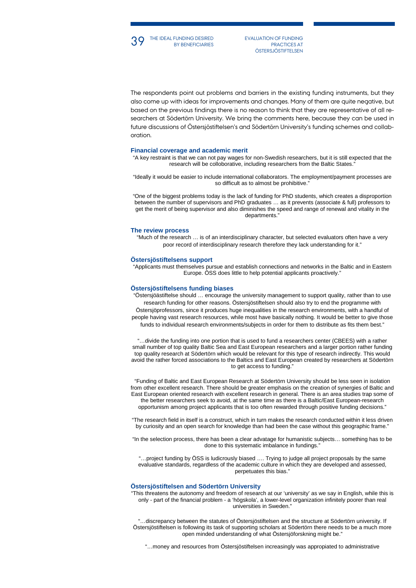**39** THE IDEAL FUNDING DESIRED EVALUATION OF FUNDING BY BENEFICIARIES PRACTICES AT PRACTICES AT **ÖSTERSJÖSTIFTELSEN** 

The respondents point out problems and barriers in the existing funding instruments, but they also come up with ideas for improvements and changes. Many of them are quite negative, but based on the previous findings there is no reason to think that they are representative of all researchers at Södertörn University. We bring the comments here, because they can be used in future discussions of Östersjöstiftelsen's and Södertörn University's funding schemes and collaboration.

#### **Financial coverage and academic merit**

BY BENEFICIARIES

"A key restraint is that we can not pay wages for non-Swedish researchers, but it is still expected that the research will be colloborative, including researchers from the Baltic States.

"Ideally it would be easier to include international collaborators. The employment/payment processes are so difficult as to almost be prohibitive."

"One of the biggest problems today is the lack of funding for PhD students, which creates a disproportion between the number of supervisors and PhD graduates … as it prevents (associate & full) professors to get the merit of being supervisor and also diminishes the speed and range of renewal and vitality in the departments."

#### **The review process**

"Much of the research … is of an interdisciplinary character, but selected evaluators often have a very poor record of interdisciplinary research therefore they lack understanding for it."

## **Östersjöstiftelsens support**

"Applicants must themselves pursue and establish connections and networks in the Baltic and in Eastern Europe. ÖSS does little to help potential applicants proactively."

#### **Östersjöstiftelsens funding biases**

"Östersjöästiftelse should … encourage the university management to support quality, rather than to use research funding for other reasons. Östersjöstiftelsen should also try to end the programme with Östersjöprofessors, since it produces huge inequalities in the research environments, with a handful of people having vast research resources, while most have basically nothing. It would be better to give those funds to individual research environments/subjects in order for them to distribute as fits them best."

"…divide the funding into one portion that is used to fund a researchers center (CBEES) with a rather small number of top quality Baltic Sea and East European researchers and a larger portion rather funding top quality research at Södertörn which would be relevant for this type of research indirectly. This would avoid the rather forced associations to the Baltics and East European created by researchers at Södertörn to get access to funding."

"Funding of Baltic and East European Research at Södertörn University should be less seen in isolation from other excellent research. There should be greater emphasis on the creation of synergies of Baltic and East European oriented research with excellent research in general. There is an area studies trap some of the better researchers seek to avoid, at the same time as there is a Baltic/East European-research opportunism among project applicants that is too often rewarded through positive funding decisions."

"The research field in itself is a construct, which in turn makes the research conducted within it less driven by curiosity and an open search for knowledge than had been the case without this geographic frame."

"In the selection process, there has been a clear advatage for humanistic subjects… something has to be done to this systematic imbalance in fundings."

"…project funding by ÖSS is ludicrously biased …. Trying to judge all project proposals by the same evaluative standards, regardless of the academic culture in which they are developed and assessed, perpetuates this bias."

#### **Östersjöstiftelsen and Södertörn University**

"This threatens the autonomy and freedom of research at our 'university' as we say in English, while this is only - part of the financial problem - a 'högskola', a lower-level organization infinitely poorer than real universities in Sweden."

"…discrepancy between the statutes of Östersjöstiftelsen and the structure at Södertörn university. If Östersjöstiftelsen is following its task of supporting scholars at Södertörn there needs to be a much more open minded understanding of what Östersjöforskning might be."

"…money and resources from Östersjöstiftelsen increasingly was appropiated to administrative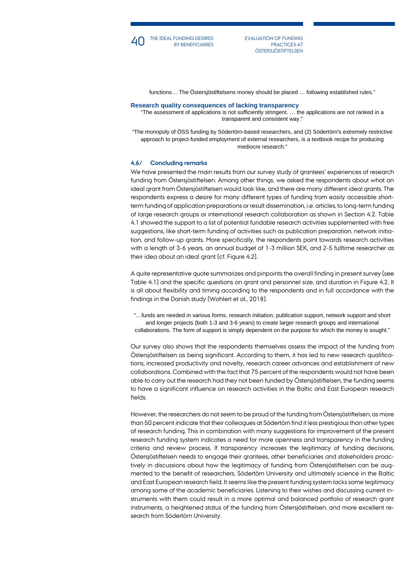

PRACTICES AT **ÖSTERSJÖSTIFTELSEN** 

functions… The Östersjöstiftelsens money should be placed … following established rules."

#### **Research quality consequences of lacking transparency**

"The assessment of applications is not sufficiently stringent. … the applications are not ranked in a transparent and consistent way."

"The monopoly of ÖSS funding by Södertörn-based researchers, and (2) Södertörn's extremely restrictive approach to project-funded employment of external researchers, is a textbook recipe for producing mediocre research."

### **4.6/ Concluding remarks**

We have presented the main results from our survey study of grantees' experiences of research funding from Östersjöstiftelsen. Among other things, we asked the respondents about what an ideal grant from Östersjöstiftelsen would look like, and there are many different ideal grants. The respondents express a desire for many different types of funding from easily accessible shortterm funding of application preparations or result dissemination, i.e. articles, to long-term funding of large research groups or international research collaboration as shown in Section 4.2. Table 4.1 showed the support to a list of potential fundable research activities supplemented with free suggestions, like short-term funding of activities such as publication preparation, network initiation, and follow-up grants. More specifically, the respondents point towards research activities with a length of 3-6 years, an annual budget of 1-3 million SEK, and 2-5 fulltime researcher as their idea about an ideal grant (cf. Figure 4.2).

A quite representative quote summarizes and pinpoints the overall finding in present survey (see Table 4.1) and the specific questions on grant and personnel size, and duration in Figure 4.2. It is all about flexibility and timing according to the respondents and in full accordance with the findings in the Danish study (Wohlert et al., 2018).

"…funds are needed in various forms, research initiation, publication support, network support and short and longer projects (both 1-3 and 3-6 years) to create larger research groups and international collaborations. The form of support is simply dependent on the purpose for which the money is sought."

Our survey also shows that the respondents themselves assess the impact of the funding from Östersjöstiftelsen as being significant. According to them, it has led to new research qualifications, increased productivity and novelty, research career advances and establishment of new collaborations. Combined with the fact that 75 percent of the respondents would not have been able to carry out the research had they not been funded by Östersjöstiftelsen, the funding seems to have a significant influence on research activities in the Baltic and East European research fields.

However, the researchers do not seem to be proud of the funding from Östersjöstiftelsen, as more than 50 percent indicate that their colleagues at Södertörn find it less prestigious than other types of research funding. This in combination with many suggestions for improvement of the present research funding system indicates a need for more openness and transparency in the funding criteria and review process. If transparency increases the legitimacy of funding decisions, Östersjöstiftelsen needs to engage their grantees, other beneficiaries and stakeholders proactively in discussions about how the legitimacy of funding from Östersjöstiftelsen can be augmented to the benefit of researchers, Södertörn University and ultimately science in the Baltic and East European research field. It seems like the present funding system lacks some legitimacy among some of the academic beneficiaries. Listening to their wishes and discussing current instruments with them could result in a more optimal and balanced portfolio of research grant instruments, a heightened status of the funding from Östersjöstiftelsen, and more excellent research from Södertörn University.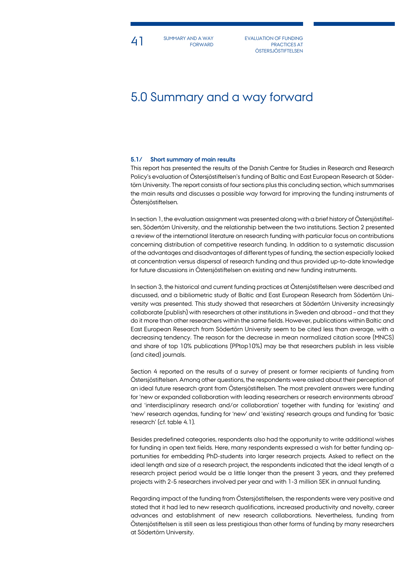4<sup>1</sup> SUMMARY AND A WAY EVALUATION OF FUNDING SUMMARY AND A WAY FORWARD

PRACTICES AT **ÖSTERSJÖSTIFTELSEN** 

## 5.0 Summary and a way forward

## **5.1/ Short summary of main results**

This report has presented the results of the Danish Centre for Studies in Research and Research Policy's evaluation of Östersjöstiftelsen's funding of Baltic and East European Research at Södertörn University. The report consists of four sections plus this concluding section, which summarises the main results and discusses a possible way forward for improving the funding instruments of Östersjöstiftelsen.

In section 1, the evaluation assignment was presented along with a brief history of Östersjöstiftelsen, Södertörn University, and the relationship between the two institutions. Section 2 presented a review of the international literature on research funding with particular focus on contributions concerning distribution of competitive research funding. In addition to a systematic discussion of the advantages and disadvantages of different types of funding, the section especially looked at concentration versus dispersal of research funding and thus provided up-to-date knowledge for future discussions in Östersjöstiftelsen on existing and new funding instruments.

In section 3, the historical and current funding practices at Östersjöstiftelsen were described and discussed, and a bibliometric study of Baltic and East European Research from Södertörn University was presented. This study showed that researchers at Södertörn University increasingly collaborate (publish) with researchers at other institutions in Sweden and abroad – and that they do it more than other researchers within the same fields. However, publications within Baltic and East European Research from Södertörn University seem to be cited less than average, with a decreasing tendency. The reason for the decrease in mean normalized citation score (MNCS) and share of top 10% publications (PPtop10%) may be that researchers publish in less visible (and cited) journals.

Section 4 reported on the results of a survey of present or former recipients of funding from Östersjöstiftelsen. Among other questions, the respondents were asked about their perception of an ideal future research grant from Östersjöstiftelsen. The most prevalent answers were funding for 'new or expanded collaboration with leading researchers or research environments abroad' and 'interdisciplinary research and/or collaboration' together with funding for 'existing' and 'new' research agendas, funding for 'new' and 'existing' research groups and funding for 'basic research' (cf. table 4.1).

Besides predefined categories, respondents also had the opportunity to write additional wishes for funding in open text fields. Here, many respondents expressed a wish for better funding opportunities for embedding PhD-students into larger research projects. Asked to reflect on the ideal length and size of a research project, the respondents indicated that the ideal length of a research project period would be a little longer than the present 3 years, and they preferred projects with 2-5 researchers involved per year and with 1-3 million SEK in annual funding.

Regarding impact of the funding from Östersjöstiftelsen, the respondents were very positive and stated that it had led to new research qualifications, increased productivity and novelty, career advances and establishment of new research collaborations. Nevertheless, funding from Östersjöstiftelsen is still seen as less prestigious than other forms of funding by many researchers at Södertörn University.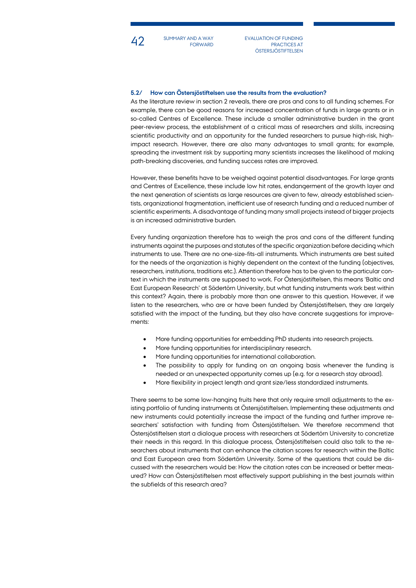

SUMMARY AND A WAY FORWARD

42 SUMMARY AND A WAY EVALUATION OF FUNDING PRACTICES AT **ÖSTERSJÖSTIFTELSEN** 

## **5.2/ How can Östersjöstiftelsen use the results from the evaluation?**

As the literature review in section 2 reveals, there are pros and cons to all funding schemes. For example, there can be good reasons for increased concentration of funds in large grants or in so-called Centres of Excellence. These include a smaller administrative burden in the grant peer-review process, the establishment of a critical mass of researchers and skills, increasing scientific productivity and an opportunity for the funded researchers to pursue high-risk, highimpact research. However, there are also many advantages to small grants; for example, spreading the investment risk by supporting many scientists increases the likelihood of making path-breaking discoveries, and funding success rates are improved.

However, these benefits have to be weighed against potential disadvantages. For large grants and Centres of Excellence, these include low hit rates, endangerment of the growth layer and the next generation of scientists as large resources are given to few, already established scientists, organizational fragmentation, inefficient use of research funding and a reduced number of scientific experiments. A disadvantage of funding many small projects instead of bigger projects is an increased administrative burden.

Every funding organization therefore has to weigh the pros and cons of the different funding instruments against the purposes and statutes of the specific organization before deciding which instruments to use. There are no one-size-fits-all instruments. Which instruments are best suited for the needs of the organization is highly dependent on the context of the funding (objectives, researchers, institutions, traditions etc.). Attention therefore has to be given to the particular context in which the instruments are supposed to work. For Östersjöstiftelsen, this means 'Baltic and East European Research' at Södertörn University, but what funding instruments work best within this context? Again, there is probably more than one answer to this question. However, if we listen to the researchers, who are or have been funded by Östersjöstiftelsen, they are largely satisfied with the impact of the funding, but they also have concrete suggestions for improvements:

- More funding opportunities for embedding PhD students into research projects.
- More funding opportunities for interdisciplinary research.
- More funding opportunities for international collaboration.
- The possibility to apply for funding on an ongoing basis whenever the funding is needed or an unexpected opportunity comes up (e.g. for a research stay abroad).
- More flexibility in project length and grant size/less standardized instruments.

There seems to be some low-hanging fruits here that only require small adjustments to the existing portfolio of funding instruments at Östersjöstiftelsen. Implementing these adjustments and new instruments could potentially increase the impact of the funding and further improve researchers' satisfaction with funding from Östersjöstiftelsen. We therefore recommend that Östersjöstiftelsen start a dialogue process with researchers at Södertörn University to concretize their needs in this regard. In this dialogue process, Östersjöstiftelsen could also talk to the researchers about instruments that can enhance the citation scores for research within the Baltic and East European area from Södertörn University. Some of the questions that could be discussed with the researchers would be: How the citation rates can be increased or better measured? How can Östersjöstiftelsen most effectively support publishing in the best journals within the subfields of this research area?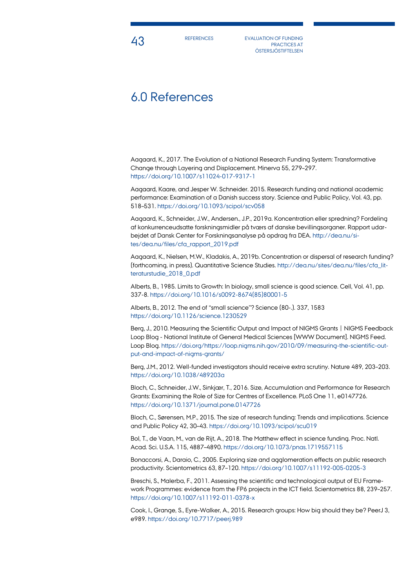**43** EVALUATION OF FUNDING PRACTICES AT **ÖSTERSJÖSTIFTELSEN** 

## 6.0 References

Aagaard, K., 2017. The Evolution of a National Research Funding System: Transformative Change through Layering and Displacement. Minerva 55, 279–297. <https://doi.org/10.1007/s11024-017-9317-1>

Aagaard, Kaare, and Jesper W. Schneider. 2015. Research funding and national academic performance: Examination of a Danish success story. Science and Public Policy, Vol. 43, pp. 518–531[. https://doi.org/10.1093/scipol/scv058](https://doi.org/10.1093/scipol/scv058)

Aagaard, K., Schneider, J.W., Andersen., J.P., 2019a. Koncentration eller spredning? Fordeling af konkurrenceudsatte forskningsmidler på tværs af danske bevillingsorganer. Rapport udarbejdet af Dansk Center for Forskningsanalyse på opdrag fra DEA[. http://dea.nu/si](http://dea.nu/sites/dea.nu/files/cfa_rapport_2019.pdf)[tes/dea.nu/files/cfa\\_rapport\\_2019.pdf](http://dea.nu/sites/dea.nu/files/cfa_rapport_2019.pdf)

Aagaard, K., Nielsen, M.W., Kladakis, A., 2019b. Concentration or dispersal of research funding? (forthcoming, in press). Quantitative Science Studies. [http://dea.nu/sites/dea.nu/files/cfa\\_lit](http://dea.nu/sites/dea.nu/files/cfa_litteraturstudie_2018_0.pdf)[teraturstudie\\_2018\\_0.pdf](http://dea.nu/sites/dea.nu/files/cfa_litteraturstudie_2018_0.pdf)

Alberts, B., 1985. Limits to Growth: In biology, small science is good science. Cell, Vol. 41, pp. 337-8. [https://doi.org/10.1016/s0092-8674\(85\)80001-5](https://doi.org/10.1016/s0092-8674(85)80001-5)

Alberts, B., 2012. The end of "small science"? Science (80-.). 337, 1583 <https://doi.org/10.1126/science.1230529>

Berg, J., 2010. Measuring the Scientific Output and Impact of NIGMS Grants | NIGMS Feedback Loop Blog - National Institute of General Medical Sciences [WWW Document]. NIGMS Feed. Loop Blog. [https://doi.org/https://loop.nigms.nih.gov/2010/09/measuring-the-scientific-out](https://doi.org/https:/loop.nigms.nih.gov/2010/09/measuring-the-scientific-output-and-impact-of-nigms-grants/)[put-and-impact-of-nigms-grants/](https://doi.org/https:/loop.nigms.nih.gov/2010/09/measuring-the-scientific-output-and-impact-of-nigms-grants/)

Berg, J.M., 2012. Well-funded investigators should receive extra scrutiny. Nature 489, 203–203. <https://doi.org/10.1038/489203a>

Bloch, C., Schneider, J.W., Sinkjær, T., 2016. Size, Accumulation and Performance for Research Grants: Examining the Role of Size for Centres of Excellence. PLoS One 11, e0147726. <https://doi.org/10.1371/journal.pone.0147726>

Bloch, C., Sørensen, M.P., 2015. The size of research funding: Trends and implications. Science and Public Policy 42, 30–43[. https://doi.org/10.1093/scipol/scu019](https://doi.org/10.1093/scipol/scu019)

Bol, T., de Vaan, M., van de Rijt, A., 2018. The Matthew effect in science funding. Proc. Natl. Acad. Sci. U.S.A. 115, 4887–4890.<https://doi.org/10.1073/pnas.1719557115>

Bonaccorsi, A., Daraio, C., 2005. Exploring size and agglomeration effects on public research productivity. Scientometrics 63, 87–120[. https://doi.org/10.1007/s11192-005-0205-3](https://doi.org/10.1007/s11192-005-0205-3)

Breschi, S., Malerba, F., 2011. Assessing the scientific and technological output of EU Framework Programmes: evidence from the FP6 projects in the ICT field. Scientometrics 88, 239–257. <https://doi.org/10.1007/s11192-011-0378-x>

Cook, I., Grange, S., Eyre-Walker, A., 2015. Research groups: How big should they be? PeerJ 3, e989[. https://doi.org/10.7717/peerj.989](https://doi.org/10.7717/peerj.989)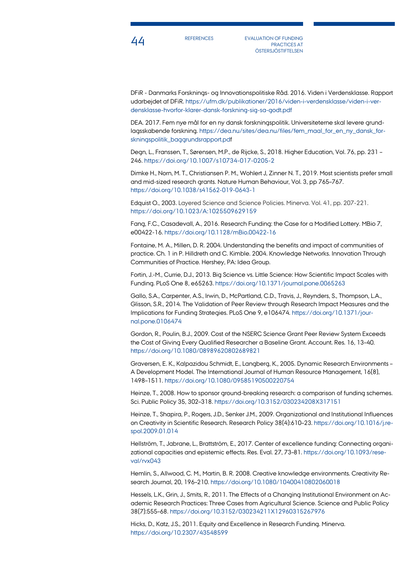

44 REFERENCES EVALUATION OF FUNDING PRACTICES AT **ÖSTERSJÖSTIFTELSEN** 

DFiR - Danmarks Forsknings- og Innovationspolitiske Råd. 2016. Viden i Verdensklasse. Rapport udarbejdet af DFiR[. https://ufm.dk/publikationer/2016/viden-i-verdensklasse/viden-i-ver](https://ufm.dk/publikationer/2016/viden-i-verdensklasse/viden-i-verdensklasse-hvorfor-klarer-dansk-forskning-sig-sa-godt.pdf)[densklasse-hvorfor-klarer-dansk-forskning-sig-sa-godt.pdf](https://ufm.dk/publikationer/2016/viden-i-verdensklasse/viden-i-verdensklasse-hvorfor-klarer-dansk-forskning-sig-sa-godt.pdf)

DEA. 2017. Fem nye mål for en ny dansk forskningspolitik. Universiteterne skal levere grundlagsskabende forskning. [https://dea.nu/sites/dea.nu/files/fem\\_maal\\_for\\_en\\_ny\\_dansk\\_for](https://dea.nu/sites/dea.nu/files/fem_maal_for_en_ny_dansk_forskningspolitik_baggrundsrapport.pdf)[skningspolitik\\_baggrundsrapport.pdf](https://dea.nu/sites/dea.nu/files/fem_maal_for_en_ny_dansk_forskningspolitik_baggrundsrapport.pdf)

Degn, L., Franssen, T., Sørensen, M.P., de Rijcke, S., 2018. Higher Education, Vol. 76, pp. 231 – 246. <https://doi.org/10.1007/s10734-017-0205-2>

Dimke H., Norn, M. T., Christiansen P. M., Wohlert J, Zinner N. T., 2019. Most scientists prefer small and mid-sized research grants. Nature Human Behaviour, Vol. 3, pp 765–767. <https://doi.org/10.1038/s41562-019-0643-1>

Edquist O., 2003. Layered Science and Science Policies. Minerva. Vol. 41, pp. 207-221. <https://doi.org/10.1023/A:1025509629159>

Fang, F.C., Casadevall, A., 2016. Research Funding: the Case for a Modified Lottery. MBio 7, e00422-16[. https://doi.org/10.1128/mBio.00422-16](https://doi.org/10.1128/mBio.00422-16)

Fontaine, M. A., Millen, D. R. 2004. Understanding the benefits and impact of communities of practice. Ch. 1 in P. Hilldreth and C. Kimble. 2004. Knowledge Networks. Innovation Through Communities of Practice. Hershey, PA: Idea Group.

Fortin, J.-M., Currie, D.J., 2013. Big Science vs. Little Science: How Scientific Impact Scales with Funding. PLoS One 8, e65263[. https://doi.org/10.1371/journal.pone.0065263](https://doi.org/10.1371/journal.pone.0065263)

Gallo, S.A., Carpenter, A.S., Irwin, D., McPartland, C.D., Travis, J., Reynders, S., Thompson, L.A., Glisson, S.R., 2014. The Validation of Peer Review through Research Impact Measures and the Implications for Funding Strategies. PLoS One 9, e106474. [https://doi.org/10.1371/jour](https://doi.org/10.1371/journal.pone.0106474)[nal.pone.0106474](https://doi.org/10.1371/journal.pone.0106474)

Gordon, R., Poulin, B.J., 2009. Cost of the NSERC Science Grant Peer Review System Exceeds the Cost of Giving Every Qualified Researcher a Baseline Grant. Account. Res. 16, 13–40. <https://doi.org/10.1080/08989620802689821>

Graversen, E. K., Kalpazidou Schmidt, E., Langberg, K., 2005. Dynamic Research Environments – A Development Model. The International Journal of Human Resource Management, 16(8), 1498–1511. <https://doi.org/10.1080/09585190500220754>

Heinze, T., 2008. How to sponsor ground-breaking research: a comparison of funding schemes. Sci. Public Policy 35, 302–318.<https://doi.org/10.3152/030234208X317151>

Heinze, T., Shapira, P., Rogers, J.D., Senker J.M., 2009. Organizational and Institutional Influences on Creativity in Scientific Research. Research Policy 38(4):610–23[. https://doi.org/10.1016/j.re](https://doi.org/10.1016/j.respol.2009.01.014)[spol.2009.01.014](https://doi.org/10.1016/j.respol.2009.01.014)

Hellström, T., Jabrane, L., Brattström, E., 2017. Center of excellence funding: Connecting organizational capacities and epistemic effects. Res. Eval. 27, 73–81. [https://doi.org/10.1093/rese](https://doi.org/10.1093/reseval/rvx043)[val/rvx043](https://doi.org/10.1093/reseval/rvx043)

Hemlin, S., Allwood, C. M., Martin, B. R. 2008. Creative knowledge environments. Creativity Research Journal, 20, 196–210. <https://doi.org/10.1080/10400410802060018>

Hessels, L.K., Grin, J., Smits, R., 2011. The Effects of a Changing Institutional Environment on Academic Research Practices: Three Cases from Agricultural Science. Science and Public Policy 38(7):555–68. <https://doi.org/10.3152/030234211X12960315267976>

Hicks, D., Katz, J.S., 2011. Equity and Excellence in Research Funding. Minerva. <https://doi.org/10.2307/43548599>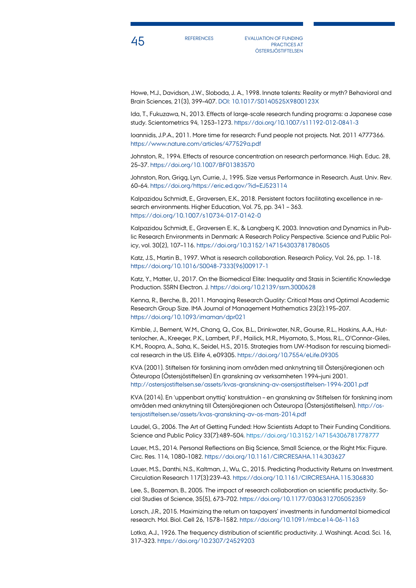

45 REFERENCES EVALUATION OF FUNDING PRACTICES AT **ÖSTERSJÖSTIFTELSEN** 

Howe, M.J., Davidson, J.W., Sloboda, J. A., 1998. Innate talents: Reality or myth? Behavioral and Brain Sciences, 21(3), 399–407. DOI: 10.1017/S0140525X9800123X

Ida, T., Fukuzawa, N., 2013. Effects of large-scale research funding programs: a Japanese case study. Scientometrics 94, 1253–1273[. https://doi.org/10.1007/s11192-012-0841-3](https://doi.org/10.1007/s11192-012-0841-3)

Ioannidis, J.P.A., 2011. More time for research: Fund people not projects. Nat. 2011 4777366. <https://www.nature.com/articles/477529a.pdf>

Johnston, R., 1994. Effects of resource concentration on research performance. High. Educ. 28, 25–37[. https://doi.org/10.1007/BF01383570](https://doi.org/10.1007/BF01383570)

Johnston, Ron, Grigg, Lyn, Currie, J., 1995. Size versus Performance in Research. Aust. Univ. Rev. 60–64[. https://doi.org/https://eric.ed.gov/?id=EJ523114](https://doi.org/https:/eric.ed.gov/?id=EJ523114)

Kalpazidou Schmidt, E., Graversen, E.K., 2018. Persistent factors facilitating excellence in research environments. Higher Education, Vol. 75, pp. 341 – 363. <https://doi.org/10.1007/s10734-017-0142-0>

Kalpazidou Schmidt, E., Graversen E. K., & Langberg K. 2003. Innovation and Dynamics in Public Research Environments in Denmark: A Research Policy Perspective. Science and Public Policy, vol. 30(2), 107–116. <https://doi.org/10.3152/147154303781780605>

Katz, J.S., Martin B., 1997. What is research collaboration. Research Policy, Vol. 26, pp. 1-18. [https://doi.org/10.1016/S0048-7333\(96\)00917-1](https://doi.org/10.1016/S0048-7333(96)00917-1)

Katz, Y., Matter, U., 2017. On the Biomedical Elite: Inequality and Stasis in Scientific Knowledge Production. SSRN Electron. J[. https://doi.org/10.2139/ssrn.3000628](https://doi.org/10.2139/ssrn.3000628)

Kenna, R., Berche, B., 2011. Managing Research Quality: Critical Mass and Optimal Academic Research Group Size. IMA Journal of Management Mathematics 23(2):195–207. <https://doi.org/10.1093/imaman/dpr021>

Kimble, J., Bement, W.M., Chang, Q., Cox, B.L., Drinkwater, N.R., Gourse, R.L., Hoskins, A.A., Huttenlocher, A., Kreeger, P.K., Lambert, P.F., Mailick, M.R., Miyamoto, S., Moss, R.L., O'Connor-Giles, K.M., Roopra, A., Saha, K., Seidel, H.S., 2015. Strategies from UW-Madison for rescuing biomedical research in the US. Elife 4, e09305.<https://doi.org/10.7554/eLife.09305>

KVA (2001). Stiftelsen för forskning inom områden med anknytning till Östersjöregionen och Östeuropa (Östersjöstiftelsen) En granskning av verksamheten 1994–juni 2001. <http://ostersjostiftelsen.se/assets/kvas-granskning-av-osersjostiftelsen-1994-2001.pdf>

KVA (2014). En 'uppenbart onyttig' konstruktion – en granskning av Stiftelsen för forskning inom områden med anknytning till Östersjöregionen och Östeuropa (Östersjöstiftelsen)[. http://os](http://ostersjostiftelsen.se/assets/kvas-granskning-av-os-mars-2014.pdf)[tersjostiftelsen.se/assets/kvas-granskning-av-os-mars-2014.pdf](http://ostersjostiftelsen.se/assets/kvas-granskning-av-os-mars-2014.pdf)

Laudel, G., 2006. The Art of Getting Funded: How Scientists Adapt to Their Funding Conditions. Science and Public Policy 33(7):489–504. <https://doi.org/10.3152/147154306781778777>

Lauer, M.S., 2014. Personal Reflections on Big Science, Small Science, or the Right Mix: Figure. Circ. Res. 114, 1080–1082.<https://doi.org/10.1161/CIRCRESAHA.114.303627>

Lauer, M.S., Danthi, N.S., Kaltman, J., Wu, C., 2015. Predicting Productivity Returns on Investment. Circulation Research 117(3):239–43[. https://doi.org/10.1161/CIRCRESAHA.115.306830](https://doi.org/10.1161/CIRCRESAHA.115.306830)

Lee, S., Bozeman, B., 2005. The impact of research collaboration on scientific productivity. Social Studies of Science, 35(5), 673–702. [https://doi.org/10.1177/0306312705052359](https://doi.org/10.1177%2F0306312705052359)

Lorsch, J.R., 2015. Maximizing the return on taxpayers' investments in fundamental biomedical research. Mol. Biol. Cell 26, 1578–1582.<https://doi.org/10.1091/mbc.e14-06-1163>

Lotka, A.J., 1926. The frequency distribution of scientific productivity. J. Washingt. Acad. Sci. 16, 317–323[. https://doi.org/10.2307/24529203](https://doi.org/10.2307/24529203)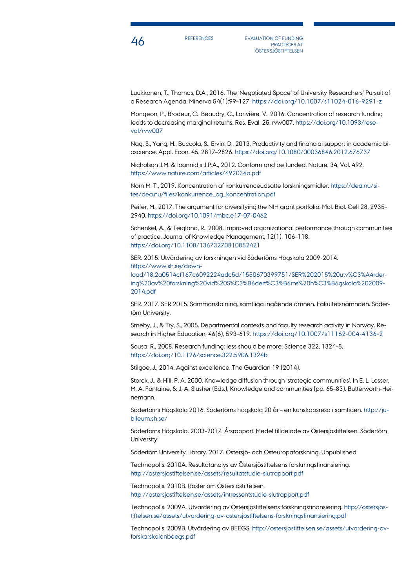

A6 REFERENCES EVALUATION OF FUNDING PRACTICES AT **ÖSTERSJÖSTIFTELSEN** 

Luukkonen, T., Thomas, D.A., 2016. The 'Negotiated Space' of University Researchers' Pursuit of a Research Agenda. Minerva 54(1):99–127. <https://doi.org/10.1007/s11024-016-9291-z>

Mongeon, P., Brodeur, C., Beaudry, C., Larivière, V., 2016. Concentration of research funding leads to decreasing marginal returns. Res. Eval. 25, rvw007[. https://doi.org/10.1093/rese](https://doi.org/10.1093/reseval/rvw007)[val/rvw007](https://doi.org/10.1093/reseval/rvw007)

Nag, S., Yang, H., Buccola, S., Ervin, D., 2013. Productivity and financial support in academic bioscience. Appl. Econ. 45, 2817–2826[. https://doi.org/10.1080/00036846.2012.676737](https://doi.org/10.1080/00036846.2012.676737)

Nicholson J.M. & Ioannidis J.P.A., 2012. Conform and be funded. Nature, 34, Vol. 492. <https://www.nature.com/articles/492034a.pdf>

Norn M. T., 2019. Koncentration af konkurrenceudsatte forskningsmidler[. https://dea.nu/si](https://dea.nu/sites/dea.nu/files/konkurrence_og_koncentration.pdf)[tes/dea.nu/files/konkurrence\\_og\\_koncentration.pdf](https://dea.nu/sites/dea.nu/files/konkurrence_og_koncentration.pdf)

Peifer, M., 2017. The argument for diversifying the NIH grant portfolio. Mol. Biol. Cell 28, 2935– 2940[. https://doi.org/10.1091/mbc.e17-07-0462](https://doi.org/10.1091/mbc.e17-07-0462)

Schenkel, A., & Teigland, R., 2008. Improved organizational performance through communities of practice. Journal of Knowledge Management, 12(1), 106–118. <https://doi.org/10.1108/13673270810852421>

SER. 2015. Utvärdering av forskningen vid Södertörns Högskola 2009-2014. [https://www.sh.se/down](https://www.sh.se/download/18.2a0514cf167c6092224adc5d/1550670399751/SER%202015%20utv%C3%A4rdering%20av%20forskning%20vid%20S%C3%B6dert%C3%B6rns%20h%C3%B6gskola%202009-2014.pdf)[load/18.2a0514cf167c6092224adc5d/1550670399751/SER%202015%20utv%C3%A4rder](https://www.sh.se/download/18.2a0514cf167c6092224adc5d/1550670399751/SER%202015%20utv%C3%A4rdering%20av%20forskning%20vid%20S%C3%B6dert%C3%B6rns%20h%C3%B6gskola%202009-2014.pdf)[ing%20av%20forskning%20vid%20S%C3%B6dert%C3%B6rns%20h%C3%B6gskola%202009-](https://www.sh.se/download/18.2a0514cf167c6092224adc5d/1550670399751/SER%202015%20utv%C3%A4rdering%20av%20forskning%20vid%20S%C3%B6dert%C3%B6rns%20h%C3%B6gskola%202009-2014.pdf) [2014.pdf](https://www.sh.se/download/18.2a0514cf167c6092224adc5d/1550670399751/SER%202015%20utv%C3%A4rdering%20av%20forskning%20vid%20S%C3%B6dert%C3%B6rns%20h%C3%B6gskola%202009-2014.pdf)

SER. 2017. SER 2015. Sammanstälning, samtliga ingående ämnen. Fakultetsnämnden. Södertörn University.

Smeby, J., & Try, S., 2005. Departmental contexts and faculty research activity in Norway. Research in Higher Education, 46(6), 593–619. https://doi.org/10.1007/s11162-004-4136-2

Sousa, R., 2008. Research funding: less should be more. Science 322, 1324–5. <https://doi.org/10.1126/science.322.5906.1324b>

Stilgoe, J., 2014. Against excellence. The Guardian 19 (2014).

Storck, J., & Hill, P. A. 2000. Knowledge diffusion through 'strategic communities'. In E. L. Lesser, M. A. Fontaine, & J. A. Slusher (Eds.), Knowledge and communities (pp. 65–83). Butterworth-Heinemann.

Södertörns Högskola 2016. Södertörns högskola 20 år – en kunskapsresa i samtiden[. http://ju](http://jubileum.sh.se/)[bileum.sh.se/](http://jubileum.sh.se/)

Södertörns Högskola. 2003-2017. Årsrapport. Medel tilldelade av Östersjöstiftelsen. Södertörn University.

Södertörn University Library. 2017. Östersjö- och Östeuropaforskning. Unpublished.

Technopolis. 2010A. Resultatanalys av Östersjöstiftelsens forskningsfinansiering. <http://ostersjostiftelsen.se/assets/resultatstudie-slutrapport.pdf>

Technopolis. 2010B. Röster om Östersjöstiftelsen. <http://ostersjostiftelsen.se/assets/intressentstudie-slutrapport.pdf>

Technopolis. 2009A. Utvärdering av Östersjöstiftelsens forskningsfinansiering[. http://ostersjos](http://ostersjostiftelsen.se/assets/utvardering-av-ostersjostiftelsens-forskningsfinansiering.pdf)[tiftelsen.se/assets/utvardering-av-ostersjostiftelsens-forskningsfinansiering.pdf](http://ostersjostiftelsen.se/assets/utvardering-av-ostersjostiftelsens-forskningsfinansiering.pdf)

Technopolis. 2009B. Utvärdering av BEEGS. [http://ostersjostiftelsen.se/assets/utvardering-av](http://ostersjostiftelsen.se/assets/utvardering-av-forskarskolanbeegs.pdf)[forskarskolanbeegs.pdf](http://ostersjostiftelsen.se/assets/utvardering-av-forskarskolanbeegs.pdf)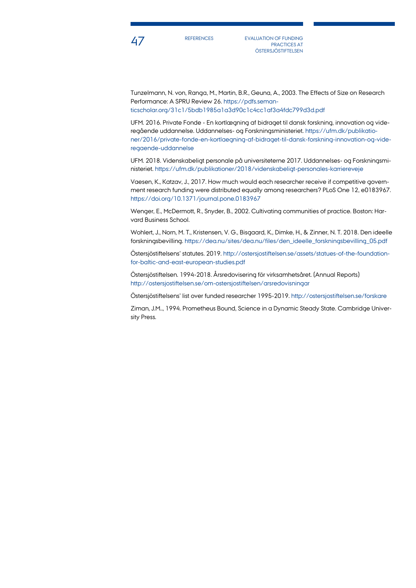

47 REFERENCES EVALUATION OF FUNDING PRACTICES AT **ÖSTERSJÖSTIFTELSEN** 

Tunzelmann, N. von, Ranga, M., Martin, B.R., Geuna, A., 2003. The Effects of Size on Research Performance: A SPRU Review 26. [https://pdfs.seman](https://pdfs.semanticscholar.org/31c1/5bdb1985a1a3d90c1c4cc1af3a4fdc799d3d.pdf)[ticscholar.org/31c1/5bdb1985a1a3d90c1c4cc1af3a4fdc799d3d.pdf](https://pdfs.semanticscholar.org/31c1/5bdb1985a1a3d90c1c4cc1af3a4fdc799d3d.pdf)

UFM. 2016. Private Fonde - En kortlægning af bidraget til dansk forskning, innovation og videregående uddannelse. Uddannelses- og Forskningsministeriet. [https://ufm.dk/publikatio](https://ufm.dk/publikationer/2016/private-fonde-en-kortlaegning-af-bidraget-til-dansk-forskning-innovation-og-videregaende-uddannelse)[ner/2016/private-fonde-en-kortlaegning-af-bidraget-til-dansk-forskning-innovation-og-vide](https://ufm.dk/publikationer/2016/private-fonde-en-kortlaegning-af-bidraget-til-dansk-forskning-innovation-og-videregaende-uddannelse)[regaende-uddannelse](https://ufm.dk/publikationer/2016/private-fonde-en-kortlaegning-af-bidraget-til-dansk-forskning-innovation-og-videregaende-uddannelse)

UFM. 2018. Videnskabeligt personale på universiteterne 2017. Uddannelses- og Forskningsministeriet. <https://ufm.dk/publikationer/2018/videnskabeligt-personales-karriereveje>

Vaesen, K., Katzav, J., 2017. How much would each researcher receive if competitive government research funding were distributed equally among researchers? PLoS One 12, e0183967. <https://doi.org/10.1371/journal.pone.0183967>

Wenger, E., McDermott, R., Snyder, B., 2002. Cultivating communities of practice. Boston: Harvard Business School.

Wohlert, J., Norn, M. T., Kristensen, V. G., Bisgaard, K., Dimke, H., & Zinner, N. T. 2018. Den ideelle forskningsbevilling. [https://dea.nu/sites/dea.nu/files/den\\_ideelle\\_forskningsbevilling\\_05.pdf](https://dea.nu/sites/dea.nu/files/den_ideelle_forskningsbevilling_05.pdf)

Östersjöstiftelsens' statutes. 2019[. http://ostersjostiftelsen.se/assets/statues-of-the-foundation](http://ostersjostiftelsen.se/assets/statues-of-the-foundation-for-baltic-and-east-european-studies.pdf)[for-baltic-and-east-european-studies.pdf](http://ostersjostiftelsen.se/assets/statues-of-the-foundation-for-baltic-and-east-european-studies.pdf)

Östersjöstiftelsen. 1994-2018. Årsredovisering för virksamhetsåret. (Annual Reports) <http://ostersjostiftelsen.se/om-ostersjostiftelsen/arsredovisningar>

Östersjöstiftelsens' list over funded researcher 1995-2019.<http://ostersjostiftelsen.se/forskare>

Ziman, J.M.., 1994. Prometheus Bound, Science in a Dynamic Steady State. Cambridge University Press.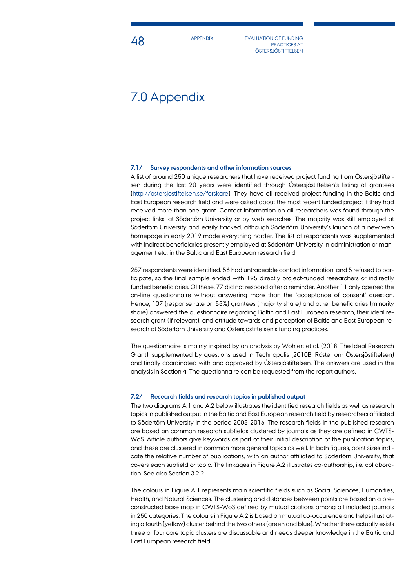**48** APPENDIX EVALUATION OF FUNDING PRACTICES AT **ÖSTERSJÖSTIFTELSEN** 

## 7.0 Appendix

### **7.1/ Survey respondents and other information sources**

A list of around 250 unique researchers that have received project funding from Östersjöstiftelsen during the last 20 years were identified through Östersjöstiftelsen's listing of grantees [\(http://ostersjostiftelsen.se/forskare\)](http://ostersjostiftelsen.se/forskare). They have all received project funding in the Baltic and East European research field and were asked about the most recent funded project if they had received more than one grant. Contact information on all researchers was found through the project links, at Södertörn University or by web searches. The majority was still employed at Södertörn University and easily tracked, although Södertörn University's launch of a new web homepage in early 2019 made everything harder. The list of respondents was supplemented with indirect beneficiaries presently employed at Södertörn University in administration or management etc. in the Baltic and East European research field.

257 respondents were identified. 56 had untraceable contact information, and 5 refused to participate, so the final sample ended with 195 directly project-funded researchers or indirectly funded beneficiaries. Of these, 77 did not respond after a reminder. Another 11 only opened the on-line questionnaire without answering more than the 'acceptance of consent' question. Hence, 107 (response rate on 55%) grantees (majority share) and other beneficiaries (minority share) answered the questionnaire regarding Baltic and East European research, their ideal research grant (if relevant), and attitude towards and perception of Baltic and East European research at Södertörn University and Östersjöstiftelsen's funding practices.

The questionnaire is mainly inspired by an analysis by Wohlert et al. (2018, The Ideal Research Grant), supplemented by questions used in Technopolis (2010B, Röster om Östersjöstiftelsen) and finally coordinated with and approved by Östersjöstiftelsen. The answers are used in the analysis in Section 4. The questionnaire can be requested from the report authors.

#### **7.2/ Research fields and research topics in published output**

The two diagrams A.1 and A.2 below illustrates the identified research fields as well as research topics in published output in the Baltic and East European research field by researchers affiliated to Södertörn University in the period 2005-2016. The research fields in the published research are based on common research subfields clustered by journals as they are defined in CWTS-WoS. Article authors give keywords as part of their initial description of the publication topics, and these are clustered in common more general topics as well. In both figures, point sizes indicate the relative number of publications, with an author affiliated to Södertörn University, that covers each subfield or topic. The linkages in Figure A.2 illustrates co-authorship, i.e. collaboration. See also Section 3.2.2.

The colours in Figure A.1 represents main scientific fields such as Social Sciences, Humanities, Health, and Natural Sciences. The clustering and distances between points are based on a preconstructed base map in CWTS-WoS defined by mutual citations among all included journals in 250 categories. The colours in Figure A.2 is based on mutual co-occurence and helps illustrating a fourth (yellow) cluster behind the two others (green and blue). Whether there actually exists three or four core topic clusters are discussable and needs deeper knowledge in the Baltic and East European research field.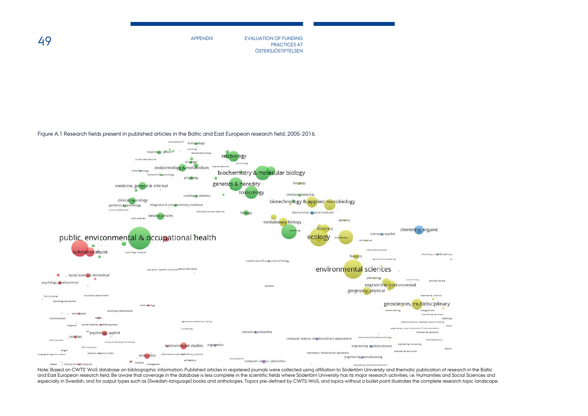APPENDIX EVALUATION OF FUNDING PRACTICES AT PRACTICES AT ÖSTERSJÖSTIFTELSEN

Figure A.1 Research fields present in published articles in the Baltic and East European research field, 2005-2016.



Note: Based on CWTS' WoS database on bibliographic information. Published articles in registered journals were collected using affiliation to Södertörn University and thematic publication of research in the Baltic and East European research field. Be aware that coverage in the database is less complete in the scientific fields where Södertörn University has its major research activities, i.e. Humanities and Social Sciences and especially in Swedish, and for output types such as (Swedish-language) books and anthologies. Topics pre-defined by CWTS-WoS, and topics without a bullet point illustrates the complete research topic landscape.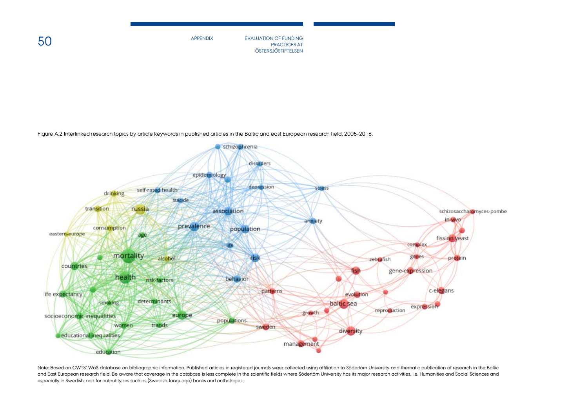$50$  By appendix appendix by a sevaluation of funding  $_{\rm PRACTICES\,AT}$ PRACTICES AT **ÖSTERSJÖSTIFTELSEN** 

Figure A.2 Interlinked research topics by article keywords in published articles in the Baltic and east European research field, 2005-2016.



Note: Based on CWTS' WoS database on bibliographic information. Published articles in registered journals were collected using affiliation to Södertörn University and thematic publication of research in the Baltic and East European research field. Be aware that coverage in the database is less complete in the scientific fields where Södertörn University has its major research activities, i.e. Humanities and Social Sciences and especially in Swedish, and for output types such as (Swedish-language) books and anthologies.